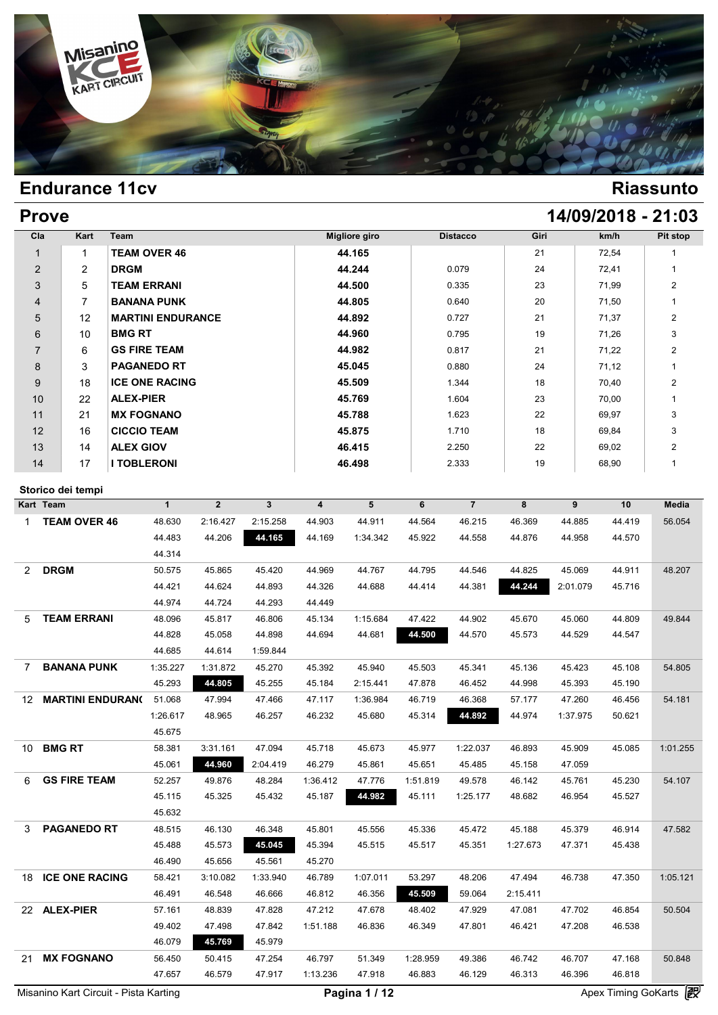

| <b>Prove</b> | 14/09/2018 - 21:03 |
|--------------|--------------------|
|              |                    |

| Cla            | Kart           | Team                     | <b>Migliore giro</b> | <b>Distacco</b> | Giri | km/h  | Pit stop       |
|----------------|----------------|--------------------------|----------------------|-----------------|------|-------|----------------|
|                | 1              | <b>TEAM OVER 46</b>      | 44.165               |                 | 21   | 72,54 | 1              |
| $\overline{2}$ | $\overline{2}$ | <b>DRGM</b>              | 44.244               | 0.079           | 24   | 72,41 |                |
| 3              | 5              | <b>TEAM ERRANI</b>       | 44.500               | 0.335           | 23   | 71,99 | $\overline{2}$ |
| $\overline{4}$ | 7              | <b>BANANA PUNK</b>       | 44.805               | 0.640           | 20   | 71,50 |                |
| 5              | 12             | <b>MARTINI ENDURANCE</b> | 44.892               | 0.727           | 21   | 71,37 | $\overline{2}$ |
| 6              | 10             | <b>BMG RT</b>            | 44.960               | 0.795           | 19   | 71,26 | 3              |
| $\overline{7}$ | 6              | <b>GS FIRE TEAM</b>      | 44.982               | 0.817           | 21   | 71,22 | $\overline{2}$ |
| 8              | 3              | <b>PAGANEDO RT</b>       | 45.045               | 0.880           | 24   | 71,12 | 1              |
| 9              | 18             | <b>ICE ONE RACING</b>    | 45.509               | 1.344           | 18   | 70,40 | $\overline{2}$ |
| 10             | 22             | <b>ALEX-PIER</b>         | 45.769               | 1.604           | 23   | 70,00 |                |
| 11             | 21             | <b>MX FOGNANO</b>        | 45.788               | 1.623           | 22   | 69,97 | 3              |
| 12             | 16             | <b>CICCIO TEAM</b>       | 45.875               | 1.710           | 18   | 69,84 | 3              |
| 13             | 14             | <b>ALEX GIOV</b>         | 46.415               | 2.250           | 22   | 69,02 | $\overline{2}$ |
| 14             | 17             | <b>I TOBLERONI</b>       | 46.498               | 2.333           | 19   | 68,90 | 1              |

### **Storico dei tempi**

| Kart Team                            | $\mathbf{1}$ | $\overline{2}$ | $\mathbf{3}$ | 4        | 5        | 6        | $\overline{7}$ | 8        | 9        | 10     | Media    |
|--------------------------------------|--------------|----------------|--------------|----------|----------|----------|----------------|----------|----------|--------|----------|
| <b>TEAM OVER 46</b><br>1             | 48.630       | 2:16.427       | 2:15.258     | 44.903   | 44.911   | 44.564   | 46.215         | 46.369   | 44.885   | 44.419 | 56.054   |
|                                      | 44.483       | 44.206         | 44.165       | 44.169   | 1:34.342 | 45.922   | 44.558         | 44.876   | 44.958   | 44.570 |          |
|                                      | 44.314       |                |              |          |          |          |                |          |          |        |          |
| <b>DRGM</b><br>$\mathbf{2}^{\prime}$ | 50.575       | 45.865         | 45.420       | 44.969   | 44.767   | 44.795   | 44.546         | 44.825   | 45.069   | 44.911 | 48.207   |
|                                      | 44.421       | 44.624         | 44.893       | 44.326   | 44.688   | 44.414   | 44.381         | 44.244   | 2:01.079 | 45.716 |          |
|                                      | 44.974       | 44.724         | 44.293       | 44.449   |          |          |                |          |          |        |          |
| <b>TEAM ERRANI</b><br>5              | 48.096       | 45.817         | 46.806       | 45.134   | 1:15.684 | 47.422   | 44.902         | 45.670   | 45.060   | 44.809 | 49.844   |
|                                      | 44.828       | 45.058         | 44.898       | 44.694   | 44.681   | 44.500   | 44.570         | 45.573   | 44.529   | 44.547 |          |
|                                      | 44.685       | 44.614         | 1:59.844     |          |          |          |                |          |          |        |          |
| <b>BANANA PUNK</b><br>7              | 1:35.227     | 1:31.872       | 45.270       | 45.392   | 45.940   | 45.503   | 45.341         | 45.136   | 45.423   | 45.108 | 54.805   |
|                                      | 45.293       | 44.805         | 45.255       | 45.184   | 2:15.441 | 47.878   | 46.452         | 44.998   | 45.393   | 45.190 |          |
| <b>MARTINI ENDURANO</b><br>12        | 51.068       | 47.994         | 47.466       | 47.117   | 1:36.984 | 46.719   | 46.368         | 57.177   | 47.260   | 46.456 | 54.181   |
|                                      | 1:26.617     | 48.965         | 46.257       | 46.232   | 45.680   | 45.314   | 44.892         | 44.974   | 1:37.975 | 50.621 |          |
|                                      | 45.675       |                |              |          |          |          |                |          |          |        |          |
| <b>BMG RT</b><br>10                  | 58.381       | 3:31.161       | 47.094       | 45.718   | 45.673   | 45.977   | 1:22.037       | 46.893   | 45.909   | 45.085 | 1:01.255 |
|                                      | 45.061       | 44.960         | 2:04.419     | 46.279   | 45.861   | 45.651   | 45.485         | 45.158   | 47.059   |        |          |
| <b>GS FIRE TEAM</b><br>6             | 52.257       | 49.876         | 48.284       | 1:36.412 | 47.776   | 1:51.819 | 49.578         | 46.142   | 45.761   | 45.230 | 54.107   |
|                                      | 45.115       | 45.325         | 45.432       | 45.187   | 44.982   | 45.111   | 1:25.177       | 48.682   | 46.954   | 45.527 |          |
|                                      | 45.632       |                |              |          |          |          |                |          |          |        |          |
| <b>PAGANEDO RT</b><br>3              | 48.515       | 46.130         | 46.348       | 45.801   | 45.556   | 45.336   | 45.472         | 45.188   | 45.379   | 46.914 | 47.582   |
|                                      | 45.488       | 45.573         | 45.045       | 45.394   | 45.515   | 45.517   | 45.351         | 1:27.673 | 47.371   | 45.438 |          |
|                                      | 46.490       | 45.656         | 45.561       | 45.270   |          |          |                |          |          |        |          |
| <b>ICE ONE RACING</b><br>18          | 58.421       | 3:10.082       | 1:33.940     | 46.789   | 1:07.011 | 53.297   | 48.206         | 47.494   | 46.738   | 47.350 | 1:05.121 |
|                                      | 46.491       | 46.548         | 46.666       | 46.812   | 46.356   | 45.509   | 59.064         | 2:15.411 |          |        |          |
| <b>ALEX-PIER</b><br>22               | 57.161       | 48.839         | 47.828       | 47.212   | 47.678   | 48.402   | 47.929         | 47.081   | 47.702   | 46.854 | 50.504   |
|                                      | 49.402       | 47.498         | 47.842       | 1:51.188 | 46.836   | 46.349   | 47.801         | 46.421   | 47.208   | 46.538 |          |
|                                      | 46.079       | 45.769         | 45.979       |          |          |          |                |          |          |        |          |
| <b>MX FOGNANO</b><br>21              | 56.450       | 50.415         | 47.254       | 46.797   | 51.349   | 1:28.959 | 49.386         | 46.742   | 46.707   | 47.168 | 50.848   |
|                                      | 47.657       | 46.579         | 47.917       | 1:13.236 | 47.918   | 46.883   | 46.129         | 46.313   | 46.396   | 46.818 |          |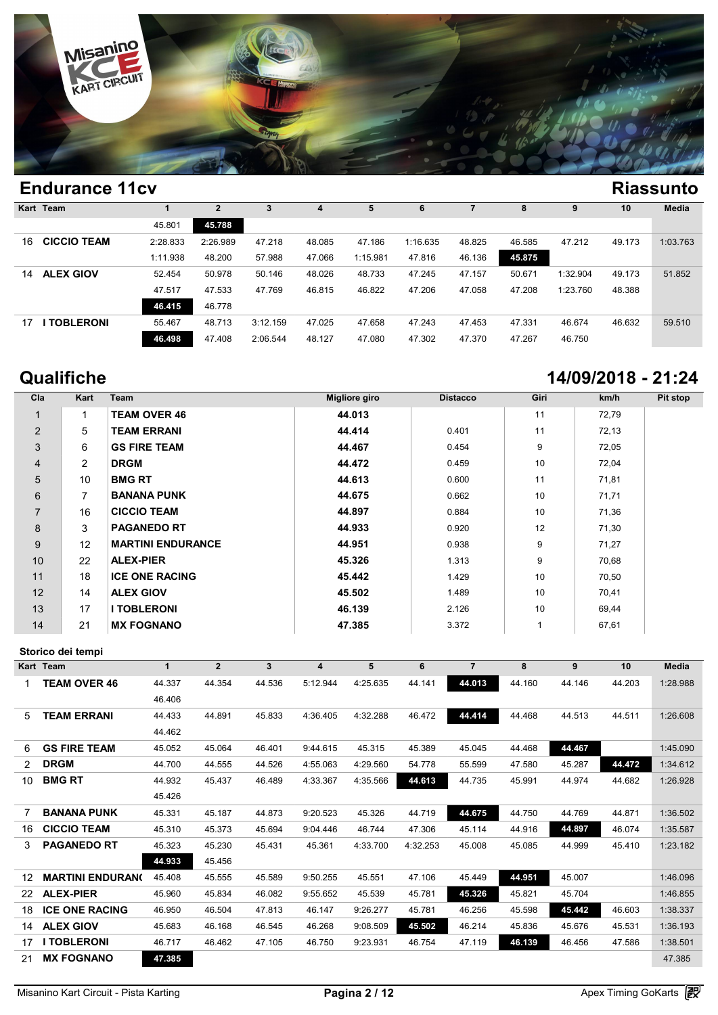

|     | Kart Team          |          | $\overline{2}$ | 3        | 4      | 5        | 6        |        | 8      | 9        | 10     | Media    |
|-----|--------------------|----------|----------------|----------|--------|----------|----------|--------|--------|----------|--------|----------|
|     |                    | 45.801   | 45.788         |          |        |          |          |        |        |          |        |          |
| 16. | <b>CICCIO TEAM</b> | 2:28.833 | 2:26.989       | 47.218   | 48.085 | 47.186   | 1:16.635 | 48.825 | 46.585 | 47.212   | 49.173 | 1:03.763 |
|     |                    | 1:11.938 | 48.200         | 57.988   | 47.066 | 1:15.981 | 47.816   | 46.136 | 45.875 |          |        |          |
| 14  | <b>ALEX GIOV</b>   | 52.454   | 50.978         | 50.146   | 48.026 | 48.733   | 47.245   | 47.157 | 50.671 | 1:32.904 | 49.173 | 51.852   |
|     |                    | 47.517   | 47.533         | 47.769   | 46.815 | 46.822   | 47.206   | 47.058 | 47.208 | 1:23.760 | 48.388 |          |
|     |                    | 46.415   | 46.778         |          |        |          |          |        |        |          |        |          |
| 17  | <b>TOBLERONI</b>   | 55.467   | 48.713         | 3:12.159 | 47.025 | 47.658   | 47.243   | 47.453 | 47.331 | 46.674   | 46.632 | 59.510   |
|     |                    | 46.498   | 47.408         | 2:06.544 | 48.127 | 47.080   | 47.302   | 47.370 | 47.267 | 46.750   |        |          |
|     |                    |          |                |          |        |          |          |        |        |          |        |          |

## **Qualifiche 14/09/2018 - 21:24**

| Cla            | Kart            | Team                     | <b>Migliore giro</b> | <b>Distacco</b> | Giri            | km/h  | Pit stop |
|----------------|-----------------|--------------------------|----------------------|-----------------|-----------------|-------|----------|
| 1              | 1               | <b>TEAM OVER 46</b>      | 44.013               |                 | 11              | 72,79 |          |
| $\overline{2}$ | 5               | <b>TEAM ERRANI</b>       | 44.414               | 0.401           | 11              | 72,13 |          |
| 3              | 6               | <b>GS FIRE TEAM</b>      | 44.467               | 0.454           | 9               | 72,05 |          |
| $\overline{4}$ | $\overline{2}$  | <b>DRGM</b>              | 44.472               | 0.459           | 10              | 72,04 |          |
| 5              | 10 <sup>1</sup> | <b>BMG RT</b>            | 44.613               | 0.600           | 11              | 71,81 |          |
| 6              | $\overline{7}$  | <b>BANANA PUNK</b>       | 44.675               | 0.662           | 10 <sup>1</sup> | 71,71 |          |
| $\overline{7}$ | 16              | <b>CICCIO TEAM</b>       | 44.897               | 0.884           | 10 <sup>1</sup> | 71,36 |          |
| 8              | 3               | <b>PAGANEDO RT</b>       | 44.933               | 0.920           | 12              | 71,30 |          |
| 9              | 12              | <b>MARTINI ENDURANCE</b> | 44.951               | 0.938           | 9               | 71,27 |          |
| 10             | 22              | <b>ALEX-PIER</b>         | 45.326               | 1.313           | 9               | 70,68 |          |
| 11             | 18              | <b>ICE ONE RACING</b>    | 45.442               | 1.429           | 10 <sup>1</sup> | 70,50 |          |
| 12             | 14              | <b>ALEX GIOV</b>         | 45.502               | 1.489           | 10 <sup>1</sup> | 70,41 |          |
| 13             | 17              | <b>I TOBLERONI</b>       | 46.139               | 2.126           | 10 <sup>1</sup> | 69,44 |          |
| 14             | 21              | <b>MX FOGNANO</b>        | 47.385               | 3.372           |                 | 67,61 |          |

### **Storico dei tempi**

|                | Storico dei tempi       |              |                |        |                         |          |          |                |        |        |        |              |
|----------------|-------------------------|--------------|----------------|--------|-------------------------|----------|----------|----------------|--------|--------|--------|--------------|
|                | <b>Kart Team</b>        | $\mathbf{1}$ | $\overline{2}$ | 3      | $\overline{\mathbf{4}}$ | 5        | 6        | $\overline{7}$ | 8      | 9      | 10     | <b>Media</b> |
|                | <b>TEAM OVER 46</b>     | 44.337       | 44.354         | 44.536 | 5:12.944                | 4:25.635 | 44.141   | 44.013         | 44.160 | 44.146 | 44.203 | 1:28.988     |
|                |                         | 46.406       |                |        |                         |          |          |                |        |        |        |              |
| 5.             | <b>TEAM ERRANI</b>      | 44.433       | 44.891         | 45.833 | 4:36.405                | 4:32.288 | 46.472   | 44.414         | 44.468 | 44.513 | 44.511 | 1:26.608     |
|                |                         | 44.462       |                |        |                         |          |          |                |        |        |        |              |
| 6              | <b>GS FIRE TEAM</b>     | 45.052       | 45.064         | 46.401 | 9:44.615                | 45.315   | 45.389   | 45.045         | 44.468 | 44.467 |        | 1:45.090     |
| 2              | <b>DRGM</b>             | 44.700       | 44.555         | 44.526 | 4:55.063                | 4:29.560 | 54.778   | 55.599         | 47.580 | 45.287 | 44.472 | 1:34.612     |
| 10             | <b>BMG RT</b>           | 44.932       | 45.437         | 46.489 | 4:33.367                | 4:35.566 | 44.613   | 44.735         | 45.991 | 44.974 | 44.682 | 1:26.928     |
|                |                         | 45.426       |                |        |                         |          |          |                |        |        |        |              |
| $\overline{7}$ | <b>BANANA PUNK</b>      | 45.331       | 45.187         | 44.873 | 9:20.523                | 45.326   | 44.719   | 44.675         | 44.750 | 44.769 | 44.871 | 1:36.502     |
| 16             | <b>CICCIO TEAM</b>      | 45.310       | 45.373         | 45.694 | 9:04.446                | 46.744   | 47.306   | 45.114         | 44.916 | 44.897 | 46.074 | 1:35.587     |
| 3              | <b>PAGANEDO RT</b>      | 45.323       | 45.230         | 45.431 | 45.361                  | 4:33.700 | 4:32.253 | 45.008         | 45.085 | 44.999 | 45.410 | 1:23.182     |
|                |                         | 44.933       | 45.456         |        |                         |          |          |                |        |        |        |              |
| 12             | <b>MARTINI ENDURANO</b> | 45.408       | 45.555         | 45.589 | 9:50.255                | 45.551   | 47.106   | 45.449         | 44.951 | 45.007 |        | 1:46.096     |
| 22             | <b>ALEX-PIER</b>        | 45.960       | 45.834         | 46.082 | 9:55.652                | 45.539   | 45.781   | 45.326         | 45.821 | 45.704 |        | 1:46.855     |
| 18             | <b>ICE ONE RACING</b>   | 46.950       | 46.504         | 47.813 | 46.147                  | 9:26.277 | 45.781   | 46.256         | 45.598 | 45.442 | 46.603 | 1:38.337     |
| 14             | <b>ALEX GIOV</b>        | 45.683       | 46.168         | 46.545 | 46.268                  | 9:08.509 | 45.502   | 46.214         | 45.836 | 45.676 | 45.531 | 1:36.193     |
| 17             | <b>I TOBLERONI</b>      | 46.717       | 46.462         | 47.105 | 46.750                  | 9:23.931 | 46.754   | 47.119         | 46.139 | 46.456 | 47.586 | 1:38.501     |
| 21             | <b>MX FOGNANO</b>       | 47.385       |                |        |                         |          |          |                |        |        |        | 47.385       |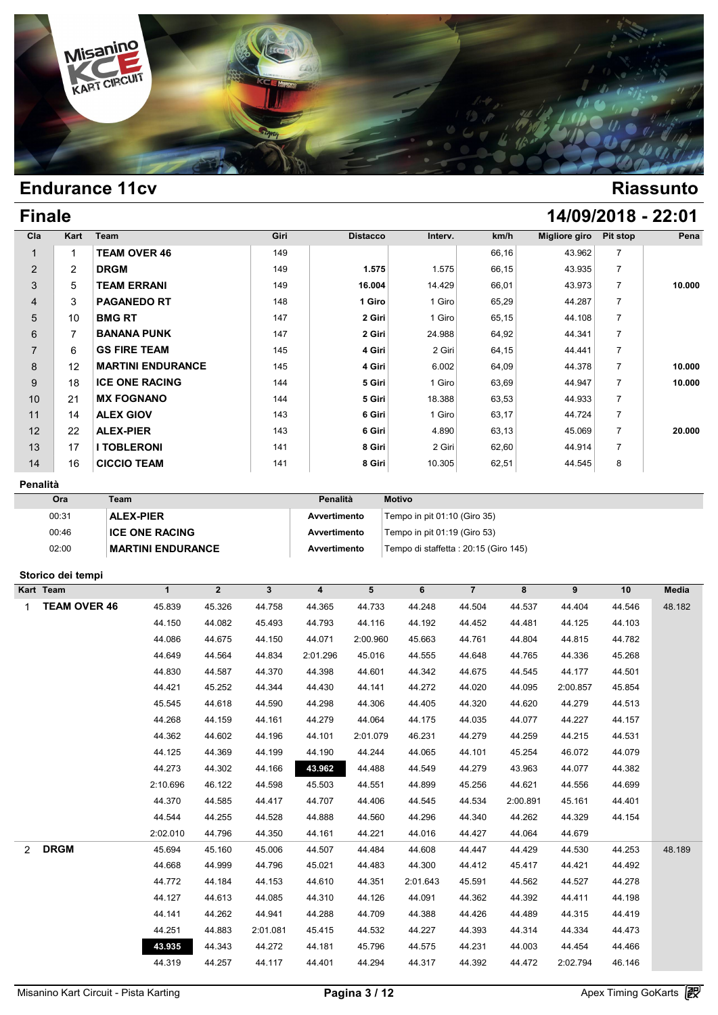

# **Finale 14/09/2018 - 22:01**

| Cla            | Kart           | Team                     | Giri | <b>Distacco</b> | Interv. | km/h  | Migliore giro | Pit stop       | Pena   |
|----------------|----------------|--------------------------|------|-----------------|---------|-------|---------------|----------------|--------|
| 1              |                | <b>TEAM OVER 46</b>      | 149  |                 |         | 66,16 | 43.962        | $\overline{7}$ |        |
| 2              | $\overline{2}$ | <b>DRGM</b>              | 149  | 1.575           | 1.575   | 66,15 | 43.935        | $\overline{7}$ |        |
| 3              | 5              | <b>TEAM ERRANI</b>       | 149  | 16.004          | 14.429  | 66,01 | 43.973        |                | 10.000 |
| $\overline{4}$ | 3              | <b>PAGANEDO RT</b>       | 148  | 1 Giro          | 1 Giro  | 65,29 | 44.287        | $\overline{7}$ |        |
| 5              | 10             | <b>BMG RT</b>            | 147  | 2 Giri          | 1 Giro  | 65,15 | 44.108        | $\overline{7}$ |        |
| 6              |                | <b>BANANA PUNK</b>       | 147  | 2 Giri          | 24.988  | 64,92 | 44.341        | $\overline{7}$ |        |
| $\overline{7}$ | 6              | <b>GS FIRE TEAM</b>      | 145  | 4 Giri          | 2 Giri  | 64,15 | 44.441        | $\overline{7}$ |        |
| 8              | 12             | <b>MARTINI ENDURANCE</b> | 145  | 4 Giri          | 6.002   | 64,09 | 44.378        | $\overline{7}$ | 10.000 |
| 9              | 18             | <b>ICE ONE RACING</b>    | 144  | 5 Giri          | 1 Giro  | 63,69 | 44.947        | $\overline{7}$ | 10.000 |
| 10             | 21             | <b>MX FOGNANO</b>        | 144  | 5 Giri          | 18.388  | 63,53 | 44.933        | $\overline{7}$ |        |
| 11             | 14             | <b>ALEX GIOV</b>         | 143  | 6 Giri          | 1 Giro  | 63,17 | 44.724        | $\overline{7}$ |        |
| 12             | 22             | <b>ALEX-PIER</b>         | 143  | 6 Giri          | 4.890   | 63,13 | 45.069        | $\overline{7}$ | 20.000 |
| 13             | 17             | <b>I TOBLERONI</b>       | 141  | 8 Giri          | 2 Giri  | 62,60 | 44.914        | $\overline{7}$ |        |
| 14             | 16             | <b>CICCIO TEAM</b>       | 141  | 8 Giri          | 10.305  | 62,51 | 44.545        | 8              |        |

### **Penalità**

| Ora   | Team                     | Penalità     | <b>Motivo</b>                         |
|-------|--------------------------|--------------|---------------------------------------|
| 00:31 | <b>ALEX-PIER</b>         | Avvertimento | Tempo in pit 01:10 (Giro 35)          |
| 00:46 | <b>ICE ONE RACING</b>    | Avvertimento | Tempo in pit $01:19$ (Giro 53)        |
| 02:00 | <b>MARTINI ENDURANCE</b> | Avvertimento | Tempo di staffetta : 20:15 (Giro 145) |

### **Storico dei tempi**

|                | Storico dei tempi   |          |                |                |          |          |          |                |          |          |        |        |
|----------------|---------------------|----------|----------------|----------------|----------|----------|----------|----------------|----------|----------|--------|--------|
|                | Kart Team           | 1        | $\overline{2}$ | $3\phantom{a}$ | 4        | 5        | 6        | $\overline{7}$ | 8        | 9        | 10     | Media  |
| 1              | <b>TEAM OVER 46</b> | 45.839   | 45.326         | 44.758         | 44.365   | 44.733   | 44.248   | 44.504         | 44.537   | 44.404   | 44.546 | 48.182 |
|                |                     | 44.150   | 44.082         | 45.493         | 44.793   | 44.116   | 44.192   | 44.452         | 44.481   | 44.125   | 44.103 |        |
|                |                     | 44.086   | 44.675         | 44.150         | 44.071   | 2:00.960 | 45.663   | 44.761         | 44.804   | 44.815   | 44.782 |        |
|                |                     | 44.649   | 44.564         | 44.834         | 2:01.296 | 45.016   | 44.555   | 44.648         | 44.765   | 44.336   | 45.268 |        |
|                |                     | 44.830   | 44.587         | 44.370         | 44.398   | 44.601   | 44.342   | 44.675         | 44.545   | 44.177   | 44.501 |        |
|                |                     | 44.421   | 45.252         | 44.344         | 44.430   | 44.141   | 44.272   | 44.020         | 44.095   | 2:00.857 | 45.854 |        |
|                |                     | 45.545   | 44.618         | 44.590         | 44.298   | 44.306   | 44.405   | 44.320         | 44.620   | 44.279   | 44.513 |        |
|                |                     | 44.268   | 44.159         | 44.161         | 44.279   | 44.064   | 44.175   | 44.035         | 44.077   | 44.227   | 44.157 |        |
|                |                     | 44.362   | 44.602         | 44.196         | 44.101   | 2:01.079 | 46.231   | 44.279         | 44.259   | 44.215   | 44.531 |        |
|                |                     | 44.125   | 44.369         | 44.199         | 44.190   | 44.244   | 44.065   | 44.101         | 45.254   | 46.072   | 44.079 |        |
|                |                     | 44.273   | 44.302         | 44.166         | 43.962   | 44.488   | 44.549   | 44.279         | 43.963   | 44.077   | 44.382 |        |
|                |                     | 2:10.696 | 46.122         | 44.598         | 45.503   | 44.551   | 44.899   | 45.256         | 44.621   | 44.556   | 44.699 |        |
|                |                     | 44.370   | 44.585         | 44.417         | 44.707   | 44.406   | 44.545   | 44.534         | 2:00.891 | 45.161   | 44.401 |        |
|                |                     | 44.544   | 44.255         | 44.528         | 44.888   | 44.560   | 44.296   | 44.340         | 44.262   | 44.329   | 44.154 |        |
|                |                     | 2:02.010 | 44.796         | 44.350         | 44.161   | 44.221   | 44.016   | 44.427         | 44.064   | 44.679   |        |        |
| $\overline{2}$ | <b>DRGM</b>         | 45.694   | 45.160         | 45.006         | 44.507   | 44.484   | 44.608   | 44.447         | 44.429   | 44.530   | 44.253 | 48.189 |
|                |                     | 44.668   | 44.999         | 44.796         | 45.021   | 44.483   | 44.300   | 44.412         | 45.417   | 44.421   | 44.492 |        |
|                |                     | 44.772   | 44.184         | 44.153         | 44.610   | 44.351   | 2:01.643 | 45.591         | 44.562   | 44.527   | 44.278 |        |
|                |                     | 44.127   | 44.613         | 44.085         | 44.310   | 44.126   | 44.091   | 44.362         | 44.392   | 44.411   | 44.198 |        |
|                |                     | 44.141   | 44.262         | 44.941         | 44.288   | 44.709   | 44.388   | 44.426         | 44.489   | 44.315   | 44.419 |        |
|                |                     | 44.251   | 44.883         | 2:01.081       | 45.415   | 44.532   | 44.227   | 44.393         | 44.314   | 44.334   | 44.473 |        |
|                |                     | 43.935   | 44.343         | 44.272         | 44.181   | 45.796   | 44.575   | 44.231         | 44.003   | 44.454   | 44.466 |        |
|                |                     | 44.319   | 44.257         | 44.117         | 44.401   | 44.294   | 44.317   | 44.392         | 44.472   | 2:02.794 | 46.146 |        |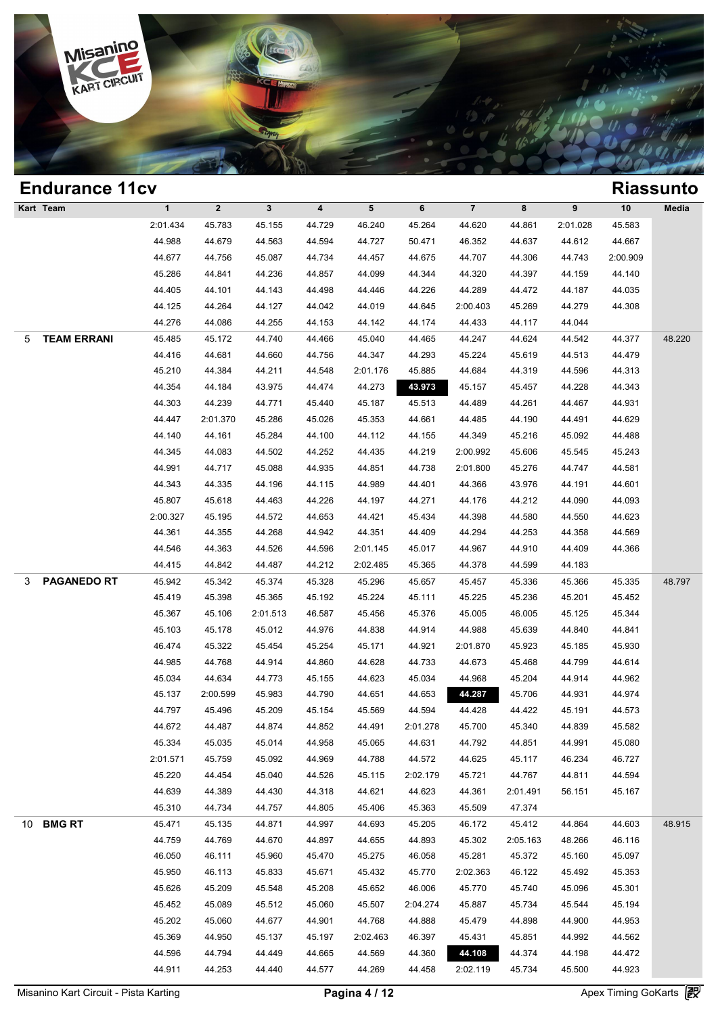

| <b>Endurance 11cv</b><br><b>Riassunto</b><br>Kart Team |                    |              |              |              |        |                 |          |                         |          |          |          |        |
|--------------------------------------------------------|--------------------|--------------|--------------|--------------|--------|-----------------|----------|-------------------------|----------|----------|----------|--------|
|                                                        |                    | $\mathbf{1}$ | $\mathbf{2}$ | $\mathbf{3}$ | 4      | $5\phantom{.0}$ | 6        | $\overline{\mathbf{7}}$ | 8        | 9        | 10       | Media  |
|                                                        |                    | 2:01.434     | 45.783       | 45.155       | 44.729 | 46.240          | 45.264   | 44.620                  | 44.861   | 2:01.028 | 45.583   |        |
|                                                        |                    | 44.988       | 44.679       | 44.563       | 44.594 | 44.727          | 50.471   | 46.352                  | 44.637   | 44.612   | 44.667   |        |
|                                                        |                    | 44.677       | 44.756       | 45.087       | 44.734 | 44.457          | 44.675   | 44.707                  | 44.306   | 44.743   | 2:00.909 |        |
|                                                        |                    | 45.286       | 44.841       | 44.236       | 44.857 | 44.099          | 44.344   | 44.320                  | 44.397   | 44.159   | 44.140   |        |
|                                                        |                    | 44.405       | 44.101       | 44.143       | 44.498 | 44.446          | 44.226   | 44.289                  | 44.472   | 44.187   | 44.035   |        |
|                                                        |                    | 44.125       | 44.264       | 44.127       | 44.042 | 44.019          | 44.645   | 2:00.403                | 45.269   | 44.279   | 44.308   |        |
|                                                        |                    | 44.276       | 44.086       | 44.255       | 44.153 | 44.142          | 44.174   | 44.433                  | 44.117   | 44.044   |          |        |
| 5                                                      | <b>TEAM ERRANI</b> | 45.485       | 45.172       | 44.740       | 44.466 | 45.040          | 44.465   | 44.247                  | 44.624   | 44.542   | 44.377   | 48.220 |
|                                                        |                    | 44.416       | 44.681       | 44.660       | 44.756 | 44.347          | 44.293   | 45.224                  | 45.619   | 44.513   | 44.479   |        |
|                                                        |                    | 45.210       | 44.384       | 44.211       | 44.548 | 2:01.176        | 45.885   | 44.684                  | 44.319   | 44.596   | 44.313   |        |
|                                                        |                    | 44.354       | 44.184       | 43.975       | 44.474 | 44.273          | 43.973   | 45.157                  | 45.457   | 44.228   | 44.343   |        |
|                                                        |                    | 44.303       | 44.239       | 44.771       | 45.440 | 45.187          | 45.513   | 44.489                  | 44.261   | 44.467   | 44.931   |        |
|                                                        |                    | 44.447       | 2:01.370     | 45.286       | 45.026 | 45.353          | 44.661   | 44.485                  | 44.190   | 44.491   | 44.629   |        |
|                                                        |                    | 44.140       | 44.161       | 45.284       | 44.100 | 44.112          | 44.155   | 44.349                  | 45.216   | 45.092   | 44.488   |        |
|                                                        |                    | 44.345       | 44.083       | 44.502       | 44.252 | 44.435          | 44.219   | 2:00.992                | 45.606   | 45.545   | 45.243   |        |
|                                                        |                    | 44.991       | 44.717       | 45.088       | 44.935 | 44.851          | 44.738   | 2:01.800                | 45.276   | 44.747   | 44.581   |        |
|                                                        |                    | 44.343       | 44.335       | 44.196       | 44.115 | 44.989          | 44.401   | 44.366                  | 43.976   | 44.191   | 44.601   |        |
|                                                        |                    | 45.807       | 45.618       | 44.463       | 44.226 | 44.197          | 44.271   | 44.176                  | 44.212   | 44.090   | 44.093   |        |
|                                                        |                    | 2:00.327     | 45.195       | 44.572       | 44.653 | 44.421          | 45.434   | 44.398                  | 44.580   | 44.550   | 44.623   |        |
|                                                        |                    | 44.361       | 44.355       | 44.268       | 44.942 | 44.351          | 44.409   | 44.294                  | 44.253   | 44.358   | 44.569   |        |
|                                                        |                    | 44.546       | 44.363       | 44.526       | 44.596 | 2:01.145        | 45.017   | 44.967                  | 44.910   | 44.409   | 44.366   |        |
|                                                        |                    | 44.415       | 44.842       | 44.487       | 44.212 | 2:02.485        | 45.365   | 44.378                  | 44.599   | 44.183   |          |        |
| 3                                                      | <b>PAGANEDO RT</b> | 45.942       | 45.342       | 45.374       | 45.328 | 45.296          | 45.657   | 45.457                  | 45.336   | 45.366   | 45.335   | 48.797 |
|                                                        |                    | 45.419       | 45.398       | 45.365       | 45.192 | 45.224          | 45.111   | 45.225                  | 45.236   | 45.201   | 45.452   |        |
|                                                        |                    | 45.367       | 45.106       | 2:01.513     | 46.587 | 45.456          | 45.376   | 45.005                  | 46.005   | 45.125   | 45.344   |        |
|                                                        |                    | 45.103       | 45.178       | 45.012       | 44.976 | 44.838          | 44.914   | 44.988                  | 45.639   | 44.840   | 44.841   |        |
|                                                        |                    | 46.474       | 45.322       | 45.454       | 45.254 | 45.171          | 44.921   | 2:01.870                | 45.923   | 45.185   | 45.930   |        |
|                                                        |                    | 44.985       | 44.768       | 44.914       | 44.860 | 44.628          | 44.733   | 44.673                  | 45.468   | 44.799   | 44.614   |        |
|                                                        |                    | 45.034       | 44.634       | 44.773       | 45.155 | 44.623          | 45.034   | 44.968                  | 45.204   | 44.914   | 44.962   |        |
|                                                        |                    | 45.137       | 2:00.599     | 45.983       | 44.790 | 44.651          | 44.653   | 44.287                  | 45.706   | 44.931   | 44.974   |        |
|                                                        |                    | 44.797       | 45.496       | 45.209       | 45.154 | 45.569          | 44.594   | 44.428                  | 44.422   | 45.191   | 44.573   |        |
|                                                        |                    | 44.672       | 44.487       | 44.874       | 44.852 | 44.491          | 2:01.278 | 45.700                  | 45.340   | 44.839   | 45.582   |        |
|                                                        |                    | 45.334       | 45.035       | 45.014       | 44.958 | 45.065          | 44.631   | 44.792                  | 44.851   | 44.991   | 45.080   |        |
|                                                        |                    | 2:01.571     | 45.759       | 45.092       | 44.969 | 44.788          | 44.572   | 44.625                  | 45.117   | 46.234   | 46.727   |        |
|                                                        |                    | 45.220       | 44.454       | 45.040       | 44.526 | 45.115          | 2:02.179 | 45.721                  | 44.767   | 44.811   | 44.594   |        |
|                                                        |                    | 44.639       | 44.389       | 44.430       | 44.318 | 44.621          | 44.623   | 44.361                  | 2:01.491 | 56.151   | 45.167   |        |
|                                                        |                    | 45.310       | 44.734       | 44.757       | 44.805 | 45.406          | 45.363   | 45.509                  | 47.374   |          |          |        |
|                                                        | 10 BMG RT          | 45.471       | 45.135       | 44.871       | 44.997 | 44.693          | 45.205   | 46.172                  | 45.412   | 44.864   | 44.603   | 48.915 |
|                                                        |                    | 44.759       | 44.769       | 44.670       | 44.897 | 44.655          | 44.893   | 45.302                  | 2:05.163 | 48.266   | 46.116   |        |
|                                                        |                    | 46.050       | 46.111       | 45.960       | 45.470 | 45.275          | 46.058   | 45.281                  | 45.372   | 45.160   | 45.097   |        |
|                                                        |                    | 45.950       | 46.113       | 45.833       | 45.671 | 45.432          | 45.770   | 2:02.363                | 46.122   | 45.492   | 45.353   |        |
|                                                        |                    | 45.626       | 45.209       | 45.548       | 45.208 | 45.652          | 46.006   | 45.770                  | 45.740   | 45.096   | 45.301   |        |
|                                                        |                    | 45.452       | 45.089       | 45.512       | 45.060 | 45.507          | 2:04.274 | 45.887                  | 45.734   | 45.544   | 45.194   |        |
|                                                        |                    | 45.202       | 45.060       | 44.677       | 44.901 | 44.768          | 44.888   | 45.479                  | 44.898   | 44.900   | 44.953   |        |
|                                                        |                    | 45.369       | 44.950       | 45.137       | 45.197 | 2:02.463        | 46.397   | 45.431                  | 45.851   | 44.992   | 44.562   |        |
|                                                        |                    | 44.596       | 44.794       | 44.449       | 44.665 | 44.569          | 44.360   | 44.108                  | 44.374   | 44.198   | 44.472   |        |
|                                                        |                    | 44.911       | 44.253       | 44.440       | 44.577 | 44.269          | 44.458   | 2:02.119                | 45.734   | 45.500   | 44.923   |        |
|                                                        |                    |              |              |              |        |                 |          |                         |          |          |          |        |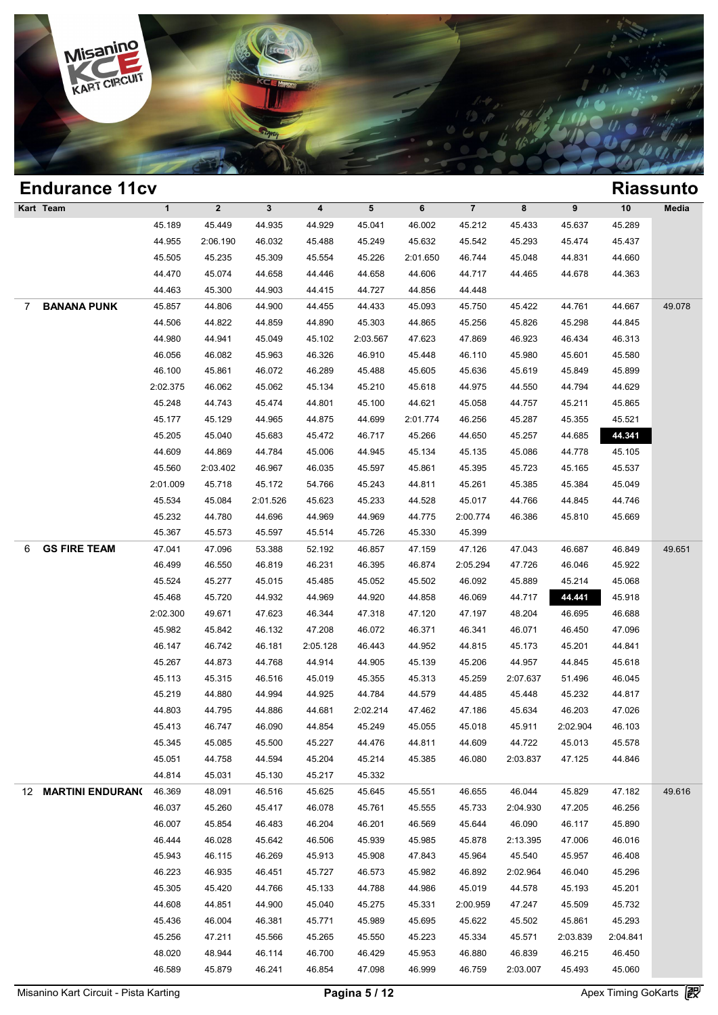

### **Endurance 11cv Riassunto Kart Team 1 2 3 4 5 6 7 8 9 10 Media 1**<br>
45.189 45.449 44.935 44.929 45.041 46.002 45.212 45.433 45.637 45.289<br>
44.955 2:06.490 46.932 45.498 45.240 45.632 45.542 45.293 45.434 45.289 1 2 3 4 5 6 7 8 9 10 Med<br>45.189 45.449 44.935 44.929 45.041 46.002 45.212 45.433 45.637 45.289<br>44.955 2:06.190 46.032 45.488 45.249 45.632 45.542 45.293 45.474 45.437<br>45.565 45.225 45.200 45.554 45.229 2:04.650 46.744 45.4 45.189 45.449 44.935 44.929 45.041 46.002 45.212 45.433 45.637 45.289 44.955 2:06.190 46.032 45.488 45.249 45.632 45.542 45.233 45.474 45.437 45.505 45.235 45.309 45.554 45.226 2:01.650 46.744 45.048 44.831 44.660 44.470 45.189 45.449 44.935 44.929 45.041 46.002 45.212 45.433 45.637 45.289<br>44.955 2:06.190 46.032 45.488 45.249 45.632 45.542 45.293 45.474 45.437<br>45.505 45.235 45.309 45.554 45.226 2:01.650 46.744 45.048 44.831 44.660<br>44.470 4 44.955 2:06.190 46.032 45.488 45.249 45.632 45.542 45.21<br>45.505 45.235 45.309 45.554 45.226 2:01.650 46.744 45.0<br>44.470 45.074 44.658 44.446 44.658 44.606 44.717 44.41<br>44.463 45.300 44.903 44.415 44.727 44.856 44.448 7 **BANANA PUNK** 45.857 44.806 44.900 44.455 44.433 45.093 45.750 45.422 44.761 44.667 49.078 44.470 45.074 44.658 44.446 44.658 44.606 44.717 44.465 44.678 44.363<br>44.463 45.300 44.903 44.415 44.727 44.856 44.448<br>45.857 44.806 44.900 44.455 44.433 45.093 45.750 45.422 44.761 44.667 49.0<br>44.506 44.822 44.859 44.890 4 44.463 45.300 44.903 44.415 44.727 44.856 44.448<br>45.857 44.806 44.900 44.455 44.433 45.093 45.750 45.422 44.761 44.667 49.0<br>44.506 44.822 44.859 44.890 45.303 44.865 45.256 45.826 45.298 44.845<br>44.980 44.941 45.049 45.102 46.857 44.806 44.900 44.455 44.433 45.093 45.750 45.422 44.761 44.667 49.0<br>44.506 44.822 44.859 44.890 45.303 44.865 45.256 45.826 45.298 44.845<br>44.980 44.941 45.049 45.102 2:03.567 47.623 47.869 46.923 46.434 46.313<br>46.056 46.506 44.822 44.859 44.890 45.303 44.865 45.256 45.826 45.298 44.845<br>44.980 44.941 45.049 45.102 2:03.567 47.623 47.869 46.923 46.434 46.313<br>46.056 46.082 45.963 46.326 46.910 45.448 46.110 45.980 45.601 45.580<br>46.100 45. 44.980 44.941 45.049 45.102 2:03.567 47.623 47.869 46.923 46.434 46.313<br>46.056 46.082 45.963 46.326 46.910 45.448 46.110 45.980 45.601 45.580<br>46.100 45.861 46.072 46.289 45.488 45.605 45.636 45.619 45.849 45.899<br>2:02.375 4 46.056 46.082 45.963 46.326 46.910 45.448 46.110 45.980 45.601 45.580<br>46.100 45.861 46.072 46.289 45.488 45.605 45.636 45.619 45.849 45.899<br>40:02.375 46.062 45.062 45.134 45.210 45.618 44.975 44.550 44.794 44.629<br>45.248 44 46.100 45.861 46.072 46.289 45.488 45.605 45.636 45.619 45.849 45.899<br>
2:02.375 46.062 45.062 45.134 45.210 45.618 44.975 44.550 44.794 44.629<br>
45.248 44.743 45.474 44.801 45.100 44.621 45.058 44.757 45.211 45.865<br>
45.177 45.248 44.743 45.474 44.801 45.618 44.975 44.550 44.794 44.629<br>45.248 44.743 45.474 44.801 45.100 44.621 45.058 44.757 45.211 45.865<br>45.177 45.129 44.965 44.875 44.699 2:01.774 46.256 45.287 45.355 45.521<br>45.205 45.040 45. 45.208 44.743 45.474 44.801 45.100 44.621 45.058 44.757 45.211 45.865<br>45.177 45.129 44.965 44.875 44.699 2:01.774 46.256 45.287 45.355 45.521<br>45.205 45.040 45.683 45.472 46.717 45.266 44.650 45.257 44.685 44.541<br>44.609 44. 45.177 45.129 44.965 44.875 44.699 2:01.774 46.256 45.287 45.355 45.521<br>45.205 45.040 45.683 45.472 46.717 45.266 44.650 45.257 44.685 44.341<br>44.609 44.869 44.784 45.006 44.945 45.134 45.135 45.086 44.778 45.105<br>45.560 2:0 45.205 45.040 45.683 45.472 46.717 45.266 44.650 45.257 44.685 44.341<br>44.609 44.869 44.784 45.006 44.945 45.134 45.135 45.086 44.778 45.105<br>45.560 2:03.402 46.967 46.035 45.597 45.861 45.395 45.723 45.165 45.537<br>2:01.009 45 44.609 44.869 44.784 45.006 44.945 45.134 45.135 45.086 44.778 45.105<br>45.560 2:03.402 46.967 46.035 45.597 45.861 45.395 45.723 45.165 45.537<br>1:01.009 45.718 45.172 54.766 45.243 44.811 45.261 45.385 45.384 45.049<br>45.534 4 45.560 2:03.402 46.967 46.035 45.597 45.861 45.395 45.723 45.165 45.537<br>
2:01.009 45.718 45.172 54.766 45.243 44.811 45.261 45.385 45.384 45.049<br>
45.534 45.084 2:01.526 45.623 45.233 44.528 45.017 44.766 44.845 44.746<br>
45. 45.718 45.712 54.766 45.243 44.811 45.261 45.31<br>45.534 45.084 2:01.526 45.623 45.233 44.528 45.017 44.71<br>45.232 44.780 44.696 44.969 44.969 44.775 2:00.774 46.3i<br>45.367 45.573 45.597 45.514 45.726 45.330 45.399 6 **GS FIRE TEAM** 47.041 47.096 53.388 52.192 46.857 47.159 47.126 47.043 46.687 46.849 49.651 46.232 44.780 44.696 44.969 44.969 44.775 2:00.774 46.386 45.810 45.669<br>45.367 45.573 45.597 45.514 45.726 45.330 45.399<br>47.041 47.096 53.388 52.192 46.857 47.159 47.126 47.043 46.687 46.849 49.6<br>46.499 46.550 46.819 46.23 45.367 45.573 45.597 45.514 45.726 45.330 45.399<br>47.041 47.096 53.388 52.192 46.857 47.159 47.126 47.043 46.687 46.849 49.6<br>46.499 46.550 46.819 46.231 46.395 46.874 2:05.294 47.726 46.046 45.922<br>45.524 45.277 45.015 45.48 46.499 46.550 46.819 46.231 46.395 46.874 2:05.294 47.726 46.046 45.922 46.524 45.277 45.015 45.485 45.052 46.687 46.849 49<br>45.524 45.277 45.015 45.485 45.052 45.502 46.092 45.889 45.214 45.068<br>45.468 45.720 44.932 44.969 46.499 46.550 46.819 46.231 46.395 46.874 2:05.294 47.726 46.046 45.922<br>45.524 45.277 45.015 45.485 45.052 45.502 46.092 45.889 45.214 45.068<br>45.468 45.720 44.932 44.969 44.920 44.858 46.069 44.717 48.204 46.695 46.688<br>2:0 45.524 45.277 45.015 45.485 45.052 46.502 46.092 45.889 45.214 45.068<br>45.468 45.720 44.932 44.969 44.920 44.858 46.069 44.717 44.441 45.918<br>1:02.300 49.671 47.623 46.344 47.318 47.120 47.197 48.204 46.695 46.688<br>45.982 45. 46.468 46.720 44.932 44.969 44.920 44.858 46.069 44.717 44.441 45.918<br>
2:02.300 49.671 47.623 46.344 47.318 47.120 47.197 48.204 46.695 46.688<br>
45.982 45.842 46.132 47.208 46.072 46.371 46.341 46.071 46.450 47.096<br>
46.147 46.982 49.671 47.623 46.344 47.318 47.120 47.197 48.204 46.695 46.688<br>45.982 45.842 46.132 47.208 46.072 46.371 46.341 46.071 46.450 47.096<br>46.147 46.742 46.181 2:05.128 46.443 44.952 44.815 45.173 45.201 44.841<br>45.267 44 45.982 45.842 46.132 47.208 46.072 46.371 46.341 46.071 46.450 47.096<br>46.147 46.742 46.181 2:05.128 46.443 44.952 44.815 45.173 45.201 44.841<br>45.267 44.873 44.768 44.914 44.905 45.139 45.206 44.957 44.845 45.618<br>45.113 45.3 46.147 46.742 46.181 2:05.128 46.443 44.952 44.815 45.173 45.201 44.841<br>45.267 44.873 44.768 44.914 44.905 45.139 45.206 44.957 44.845 45.618<br>45.113 45.315 46.516 45.019 45.355 45.313 45.259 2:07.637 51.496 46.045<br>45.219 4 45.267 44.873 44.768 44.914 44.905 45.139 45.206 44.957 44.845 45.618<br>45.113 45.315 46.516 45.019 45.355 45.313 45.259 2:07.637 51.496 46.045<br>45.219 44.880 44.994 44.925 44.784 44.579 44.485 45.448 45.232 44.817<br>44.803 44. 45.113 45.315 46.516 45.019 45.355 45.313 45.259 2:07.637 51.496 46.045<br>45.219 44.880 44.994 44.925 44.784 44.579 44.485 45.448 45.232 44.817<br>44.803 44.795 44.886 44.681 2:02.214 47.462 47.186 45.634 46.203 47.026<br>45.413 4 46.219 44.880 44.994 44.925 44.784 44.579 44.485 45.448 45.232 44.817<br>44.803 44.795 44.886 44.681 2:02.214 47.462 47.186 45.634 46.203 47.026<br>45.413 46.747 46.090 44.854 45.249 45.055 45.018 45.911 2:02.904 46.103<br>45.345 4 44.803 44.795 44.886 44.681 2:02.214 47.462 47.186 45.634 46.203 47.026<br>45.413 46.747 46.090 44.854 45.249 45.055 45.018 45.911 2:02.904 46.103<br>45.345 45.085 45.500 45.227 44.476 44.811 44.609 44.722 45.013 45.578<br>45.051 4 45.413 46.747 46.090 44.854 45.249 45.0<br>45.345 45.085 45.500 45.227 44.476 44.8<br>45.051 44.758 44.594 45.204 45.214 45.33<br>44.814 45.031 45.130 45.217 45.332 12 **MARTINI ENDURANCE**46.369 48.091 46.516 45.625 45.645 45.551 46.655 46.044 45.829 47.182 49.616 46.037 47.125 44.846<br>
46.037 46.031 45.130 45.217 45.332<br>
46.369 48.091 46.516 45.625 45.645 45.551 46.655 46.044 45.829 47.182 49.6<br>
46.037 45.260 45.417 46.078 45.761 45.555 45.733 2:04.930 47.205 46.256<br>
46.037 45.864 46 46.369 48.091 45.130 45.217 45.332<br>46.369 48.091 46.516 45.625 45.645 45.551 46.655 46.044 45.829 47.182 49.6<br>46.037 45.260 45.417 46.078 45.761 45.555 45.733 2:04.930 47.205 46.256<br>46.007 45.854 46.483 46.204 46.201 46.56 46.369 48.091 46.516 45.625 45.645 45.551 46.655 46.044 45.829 47.182 49.6<br>46.037 45.260 45.417 46.078 45.761 45.555 45.733 2:04.930 47.205 46.256<br>46.007 45.854 46.483 46.204 46.201 46.569 45.644 46.090 46.117 45.890<br>46.444 46.037 45.260 45.417 46.078 45.761 45.555 45.733 2:04.930 47.205 46.256<br>46.007 45.854 46.483 46.204 46.201 46.569 45.644 46.090 46.117 45.890<br>46.444 46.028 45.642 46.506 45.939 45.985 45.878 2:13.395 47.006 46.016<br>45.943 4 46.007 45.854 46.483 46.204 46.201 46.569 45.644 46.090 46.117 45.890<br>46.444 46.028 45.642 46.506 45.939 45.985 45.878 2:13.395 47.006 46.016<br>45.943 46.115 46.269 45.913 45.908 47.843 45.964 45.540 45.957 46.408<br>46.223 46. 46.444 46.028 45.642 46.506 45.939 45.985 45.878 2:13.395 47.006 46.016<br>45.943 46.115 46.269 45.913 45.908 47.843 45.964 45.540 45.957 46.408<br>46.223 46.935 46.451 45.727 46.573 45.982 46.892 2:02.964 46.040 45.296<br>45.305 4 46.943 46.115 46.269 45.913 45.908 47.843 45.964 45.540 45.957 46.408<br>46.223 46.935 46.451 45.727 46.573 45.982 46.892 2:02.964 46.040 45.296<br>45.305 45.420 44.766 45.133 44.788 44.986 45.019 44.578 45.193 45.201<br>44.608 44. 46.223 46.935 46.451 45.727 46.573 45.982 46.892 2:02.964 46.040 45.296<br>45.305 45.420 44.766 45.133 44.788 44.986 45.019 44.578 45.193 45.201<br>44.608 44.851 44.900 45.040 45.275 45.331 2:00.959 47.247 45.509 45.732<br>45.436 4 45.305 45.420 44.766 45.133 44.788 44.986 45.019 44.578 45.193 45.201<br>44.608 44.851 44.900 45.040 45.275 45.331 2:00.959 47.247 45.509 45.732<br>45.436 46.004 46.381 45.771 45.989 45.695 45.622 45.502 45.861 45.293<br>45.256 47.2 44.608 44.851 44.900 45.040 45.275 45.331 2:00.959 47.247 45.509 45.732<br>45.436 46.004 46.381 45.771 45.989 45.695 45.622 45.502 45.861 45.293<br>45.256 47.211 45.566 45.265 45.550 45.223 45.334 45.571 2:03.839 2:04.841<br>48.020 46.436 46.004 46.381 45.771 45.989 45.695 45.622 45.502 45.861 45.293<br>45.256 47.211 45.566 45.265 45.550 45.223 45.334 45.571 2:03.839 2:04.841<br>48.020 48.944 46.114 46.700 46.429 45.953 46.880 46.839 46.215 46.450<br>46.589 4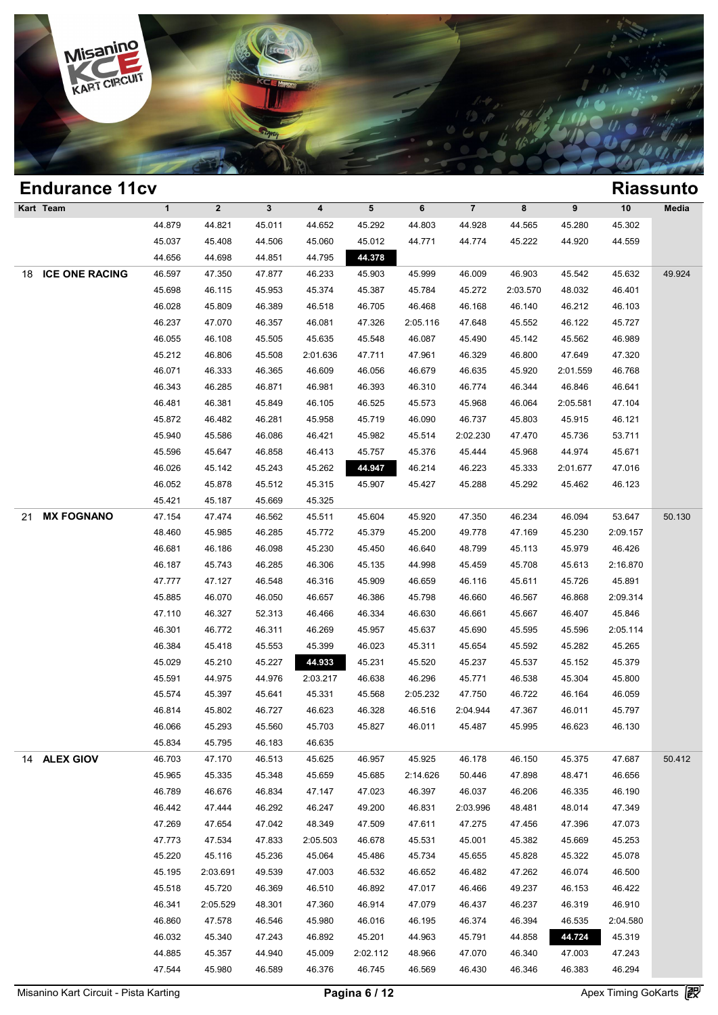

### **Endurance 11cv Riassunto Kart Team 1 2 3 4 5 6 7 8 9 10 Media 1**<br> **1**<br>
44.879 
44.821 
45.011 
44.652 
45.292 
44.803 
44.974 
44.565 
45.280 
45.302<br>
45.927 
45.498 
44.506 
45.992 
44.502 
44.502 
44.502 
44.502 
44.502 
44.502 
44.502 
44.502 
44.502 
44.502 
44.502 
44.502 
44.5 1 2 3 4 5 6 7 8 9 10 Med<br>44.879 44.821 45.011 44.652 45.292 44.803 44.928 44.565 45.280 45.302<br>45.037 45.408 44.506 45.060 45.012 44.771 44.774 45.222 44.920 44.559<br>44.656 44.609 44.851 44.705 44.776 1 2 3 4 5<br>
44.879 44.821 45.011 44.652 45.292 44<br>
45.037 45.408 44.506 45.060 45.012 44<br>
44.656 44.698 44.851 44.795 44.378 18 **ICE ONE RACING** 46.597 47.350 47.877 46.233 45.903 45.999 46.009 46.903 45.542 45.632 49.924 45.037 45.408 44.506 45.060 45.012 44.771 44.774 45.222 44.920 44.559<br>44.656 44.698 44.851 44.795 44.378<br>46.597 47.350 47.877 46.233 45.903 45.999 46.009 46.903 45.542 45.632 49.9<br>45.698 46.115 45.953 45.374 45.387 45.784 4 46.597 47.350 44.851 44.795 44.378<br>46.597 47.350 47.877 46.233 45.903 45.999 46.009 46.903 45.542 45.632 49.9<br>45.698 46.115 45.953 45.374 45.387 45.784 45.272 2:03.570 48.032 46.401<br>46.028 45.809 46.389 46.518 46.705 46.468 46.597 47.350 47.877 46.233 45.903 45.999 46.009 46.903 45.542 45.632 49.9<br>45.698 46.115 45.953 45.374 45.387 45.784 45.272 2:03.570 48.032 46.401<br>46.028 45.809 46.389 46.518 46.705 46.468 46.168 46.140 46.212 46.103<br>46.23 46.698 46.115 45.953 45.374 45.387 45.784 45.272 2:03.570 48.032 46.401<br>46.028 45.809 46.389 46.518 46.705 46.468 46.168 46.140 46.212 46.103<br>46.237 47.070 46.357 46.081 47.326 2:05.116 47.648 45.552 46.122 45.727<br>46.055 4 46.028 45.809 46.389 46.518 46.705 46.468 46.168 46.140 46.212 46.103<br>46.237 47.070 46.357 46.081 47.326 2:05.116 47.648 45.552 46.122 45.727<br>46.055 46.108 45.505 45.635 45.548 46.087 45.490 45.142 45.562 46.989<br>45.212 46. 46.237 47.070 46.357 46.081 47.326 2:05.116 47.648 45.552 46.122 45.727<br>46.055 46.108 45.505 45.635 45.548 46.087 45.490 45.142 45.562 46.989<br>45.212 46.806 45.508 2:01.636 47.711 47.961 46.329 46.800 47.649 47.320<br>46.071 4 46.055 46.108 45.505 45.635 45.548 46.087 45.490 45.142 45.562 46.989<br>45.212 46.806 45.508 2:01.636 47.711 47.961 46.329 46.800 47.649 47.320<br>46.071 46.333 46.365 46.609 46.056 46.679 46.635 45.920 2:01.559 46.768<br>46.343 4 46.212 46.806 45.508 2:01.636 47.711 47.961 46.329 46.800 47.649 47.320<br>46.071 46.333 46.365 46.609 46.056 46.679 46.635 45.920 2:01.559 46.768<br>46.343 46.285 46.871 46.981 46.393 46.310 46.774 46.344 46.846 46.641<br>46.481 4 46.071 46.333 46.365 46.609 46.056 46.679 46.635 45.920 2:01.559 46.768<br>46.343 46.285 46.871 46.981 46.393 46.310 46.774 46.344 46.846 46.641<br>46.481 46.381 45.849 46.105 46.525 45.573 45.968 46.064 2:05.581 47.104<br>45.872 4 46.343 46.285 46.871 46.981 46.393 46.310 46.774 46.344 46.846 46.641<br>46.481 46.381 45.849 46.105 46.525 45.573 45.968 46.064 2:05.581 47.104<br>45.872 46.482 46.281 45.958 45.719 46.090 46.737 45.803 45.915 46.121<br>45.940 45. 46.481 46.381 45.849 46.105 46.525 45.573 45.968 46.064 2:05.581 47.104<br>45.872 46.482 46.281 45.958 45.719 46.090 46.737 45.803 45.915 46.121<br>45.940 45.586 46.086 46.421 45.982 45.514 2:02.230 47.470 45.736 53.711<br>45.596 4 45.872 46.482 46.281 45.958 45.719 46.090 46.737 45.803 45.915 46.121<br>45.940 45.586 46.086 46.421 45.982 45.514 2:02.230 47.470 45.736 53.711<br>45.596 45.647 46.858 46.413 45.757 45.376 45.444 45.968 44.974 45.671<br>46.026 45. 45.940 45.586 46.086 46.421 45.982 45.514 2:02.230 47.470 45.736 53.711<br>45.596 45.647 46.858 46.413 45.757 45.376 45.444 45.968 44.974 45.671<br>46.026 45.142 45.243 45.262 44.874 46.214 46.223 45.333 2:01.677 47.016<br>46.052 4 45.596 45.647 46.858 46.413 45.7<br>46.026 45.142 45.243 45.262 44.9<br>46.052 45.878 45.512 45.315 45.9<br>45.421 45.187 45.669 45.325 21 **MX FOGNANO** 47.154 47.474 46.562 45.511 45.604 45.920 47.350 46.234 46.094 53.647 50.130 46.052 45.878 45.512 45.315 45.907 45.427 45.288 45.292 45.462 46.123<br>45.421 45.187 45.669 45.325<br>47.154 47.474 46.562 45.511 45.604 45.920 47.350 46.234 46.094 53.647 50.<br>48.460 45.985 46.285 45.772 45.379 45.200 49.778 4 45.421 45.187 45.669 45.325<br>47.154 47.474 46.562 45.511 45.604 45.920 47.350 46.234 46.094 53.647 50.1<br>48.460 45.985 46.285 45.772 45.379 45.200 49.778 47.169 45.230 2:09.157<br>46.681 46.186 46.098 45.230 45.450 46.640 48.79 47.154 47.474 46.562 45.511 45.604 45.920 47.350 46.234 46.094 53.647 50.<br>48.460 45.985 46.285 45.772 45.379 45.200 49.778 47.169 45.230 2:09.157<br>46.681 46.186 46.098 45.230 45.450 46.640 48.799 45.113 45.979 46.426<br>46.187 48.460 45.985 46.285 45.772 45.379 45.200 49.778 47.169 45.230 2:09.157<br>46.681 46.186 46.098 45.230 45.450 46.640 48.799 45.113 45.979 46.426<br>46.187 45.743 46.285 46.306 45.135 44.998 45.459 45.708 45.613 2:16.870<br>47.777 4 46.681 46.186 46.098 45.230 45.450 46.640 48.799 45.113 45.979 46.426<br>46.187 45.743 46.285 46.306 45.135 44.998 45.459 45.708 45.613 2:16.870<br>47.777 47.127 46.548 46.316 45.909 46.659 46.116 45.611 45.726 45.891<br>45.885 46.0 46.187 45.743 46.285 46.306 45.135 44.998 45.469 45.708 45.613 2:16.870<br>47.777 47.127 46.548 46.316 45.909 46.659 46.116 45.611 45.726 45.891<br>45.885 46.070 46.050 46.657 46.386 45.798 46.660 46.567 46.868 2:09.314<br>47.110 46 47.777 47.127 46.548 46.316 45.909 46.659 46.116 45.611 45.726 45.891<br>45.885 46.070 46.050 46.657 46.386 45.798 46.660 46.567 46.868 2:09.314<br>47.110 46.327 52.313 46.466 46.334 46.630 46.661 45.667 46.407 45.846<br>46.301 46. 46.885 46.070 46.050 46.657 46.386 45.798 46.660 46.567 46.868 2:09.314<br>47.110 46.327 52.313 46.466 46.334 46.630 46.661 45.667 46.407 45.846<br>46.301 46.772 46.311 46.269 45.957 45.637 45.690 45.595 45.596 2:05.114<br>46.384 45 46.301 46.327 52.313 46.466 46.334 46.630 46.661 45.667 46.407 45.846<br>46.301 46.772 46.311 46.269 45.957 45.637 45.690 45.595 45.596 2:05.114<br>46.384 45.418 45.553 45.399 46.023 45.311 45.654 45.592 45.282 45.265<br>45.029 45. 46.301 46.772 46.311 46.269 45.957 45.637 45.690 45.595 45.596 2:05.114<br>46.384 45.418 45.553 45.399 46.023 45.311 45.654 45.592 45.282 45.265<br>45.029 45.210 45.227 44.888 45.231 45.520 45.237 45.537 45.152 45.379<br>45.591 44. 46.384 45.418 45.553 45.399 46.023 45.311 45.654 45.592 45.282 45.265<br>45.029 45.210 45.227 44.983 45.231 45.520 45.237 45.537 45.152 45.379<br>45.591 44.975 44.976 2:03.217 46.638 46.296 45.771 46.538 45.304 45.800<br>45.574 45.3 46.814 46.822 46.727 46.623 46.328 46.528 46.528 46.722 46.164 46.832 46.828 46.528 46.528 46.814 45.802 46.727 46.623 46.328 46.516 2:04.944 47.367 46.011 45.797 46.86 46.86 46.828 46.528 46.814 46.828 46.528 46.814 46.828 46.591 44.975 44.976 2:03.217 46.638 46.296 45.771 46.538 45.304 45.800<br>45.574 45.397 45.641 45.331 45.568 2:05.232 47.750 46.722 46.164 46.059<br>46.814 45.802 46.727 46.623 46.328 46.516 2:04.944 47.367 46.011 45.797<br>46.066 45.574 45.397 45.641 45.331 45.51<br>46.814 45.802 46.727 46.623 46.3;<br>46.066 45.293 45.560 45.703 45.8;<br>45.834 45.795 46.183 46.635 14 **ALEX GIOV** 46.703 47.170 46.513 45.625 46.957 45.925 46.178 46.150 45.375 47.687 50.412 46.066 45.293 45.560 45.703 45.827 46.011 45.487 45.995 46.623 46.130<br>45.834 45.795 46.183 46.635<br>46.703 47.170 46.513 45.625 46.957 45.925 46.178 46.150 45.375 47.687 50.4<br>45.965 45.335 45.348 45.659 45.685 2:14.626 50.446 46.703 46.795 46.183 46.635<br>46.703 47.170 46.513 45.625 46.957 45.925 46.178 46.150 45.375 47.687 50.4<br>45.965 45.335 45.348 45.659 45.685 2:14.626 50.446 47.898 48.471 46.656<br>46.789 46.676 46.834 47.147 47.023 46.397 46.03 46.703 47.170 46.513 45.625 46.957 45.925 46.178 46.150 45.375 47.687 50.4<br>45.965 45.335 45.348 45.659 45.685 2:14.626 50.446 47.898 48.471 46.656<br>46.789 46.676 46.834 47.147 47.023 46.397 46.037 46.206 46.335 46.190<br>46.442 46.789 46.676 46.834 47.147 47.023 46.397 46.037 46.206 46.335 46.190<br>46.442 47.444 46.292 46.247 49.200 46.831 2:03.996 48.481 48.014 47.349<br>47.269 47.654 47.042 48.349 47.509 47.611 47.275 47.456 47.396 47.073<br>47.773 47. 46.789 46.676 46.834 47.147 47.023 46.397 46.037 46.206 46.335 46.190<br>46.442 47.444 46.292 46.247 49.200 46.831 2:03.996 48.481 48.014 47.349<br>47.269 47.654 47.042 48.349 47.509 47.611 47.275 47.456 47.396 47.073<br>47.773 47. 46.442 47.444 46.292 46.247 49.200 46.831 2:03.996 48.481 48.014 47.349<br>47.269 47.654 47.042 48.349 47.509 47.611 47.275 47.456 47.396 47.073<br>47.773 47.534 47.833 2:05.503 46.678 45.531 45.001 45.382 45.669 45.253<br>45.220 45 47.269 47.654 47.042 48.349 47.509 47.611 47.275 47.456 47.396 47.073<br>47.773 47.534 47.833 2:05.503 46.678 45.531 45.001 45.382 45.669 45.253<br>45.220 45.116 45.236 45.064 45.486 45.734 45.655 45.828 45.322 45.078<br>45.195 2:0 47.773 47.534 47.833 2:05.503 46.678 45.531 45.001 45.382 45.669 45.253<br>45.220 45.116 45.236 45.064 45.486 45.734 45.655 45.828 45.322 45.078<br>45.195 2:03.691 49.539 47.003 46.532 46.652 46.482 47.262 46.074 46.500<br>45.518 4 46.220 45.116 45.236 45.064 45.486 45.734 45.655 45.828 45.322 45.078<br>45.195 2:03.691 49.539 47.003 46.532 46.652 46.482 47.262 46.074 46.500<br>45.518 45.720 46.369 46.510 46.892 47.017 46.466 49.237 46.153 46.422<br>46.341 2:0 46.860 47.578 46.546 47.982 46.892 46.892 46.892 46.892 46.914 46.892 46.914 46.860 47.578 46.546 45.980 46.916 46.892 46.914 46.892 46.914 46.860 47.578 46.546 45.980 46.916 46.915 46.892 46.914 46.892 46.914 47.960 46.892 46.518 45.720 46.369 46.510 46.892 47.017 46.466 49.237 46.153 46.422<br>46.341 2:05.529 48.301 47.360 46.914 47.079 46.437 46.237 46.319 46.910<br>46.860 47.578 46.546 45.980 46.016 46.195 46.374 46.394 46.535 2:04.580<br>46.032 4 46.341 2:05.529 48.301 47.360 46.914 47.079 46.437 46.237 46.319 46.910<br>46.860 47.578 46.546 45.980 46.016 46.195 46.374 46.394 46.535 2:04.580<br>46.032 45.340 47.243 46.892 45.201 44.963 45.791 44.858 45.742 45.319<br>44.885 4 46.860 47.578 46.546 45.980 46.016 46.195 46.374 46.394 46.535 2:04.580<br>46.032 45.340 47.243 46.892 45.201 44.963 45.791 44.858 44.724 45.319<br>44.885 45.357 44.940 45.009 2:02.112 48.966 47.070 46.340 47.003 47.243<br>47.544 4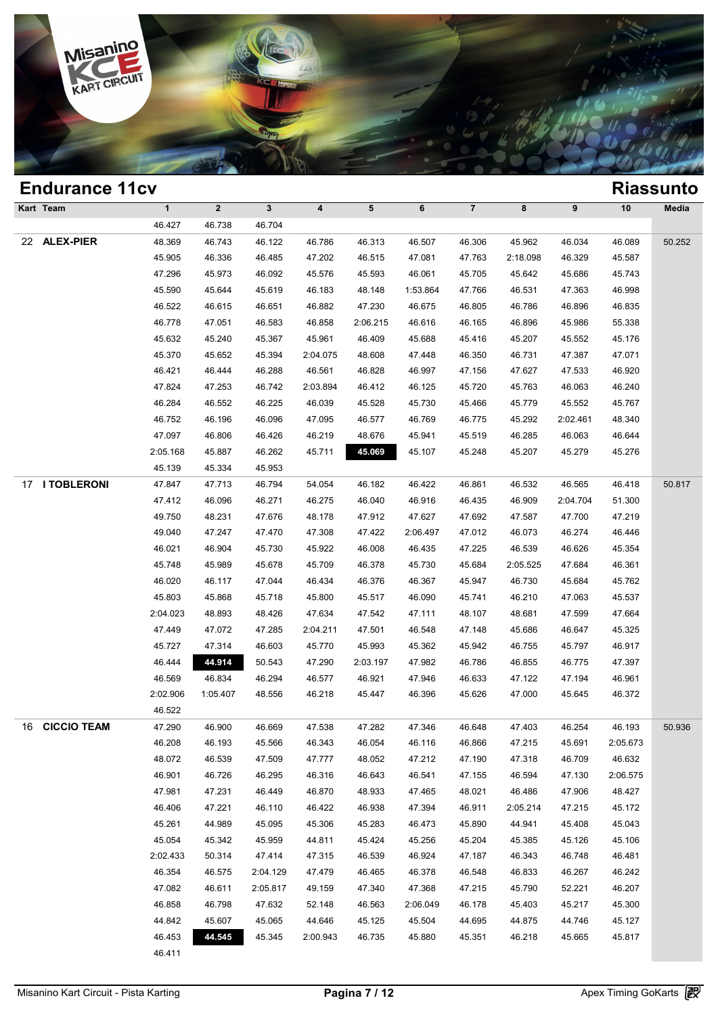

|    | <b>Endurance 11cv</b> |                  |                  |                  |                  |                  |                  |                  |                  |                  |          | <b>Riassunto</b> |
|----|-----------------------|------------------|------------------|------------------|------------------|------------------|------------------|------------------|------------------|------------------|----------|------------------|
|    | Kart Team             | $\mathbf{1}$     | $\mathbf{2}$     | $\mathbf{3}$     | 4                | $5\phantom{.0}$  | 6                | $\overline{7}$   | 8                | 9                | 10       | Media            |
|    |                       | 46.427           | 46.738           | 46.704           |                  |                  |                  |                  |                  |                  |          |                  |
| 22 | <b>ALEX-PIER</b>      | 48.369           | 46.743           | 46.122           | 46.786           | 46.313           | 46.507           | 46.306           | 45.962           | 46.034           | 46.089   | 50.252           |
|    |                       | 45.905           | 46.336           | 46.485           | 47.202           | 46.515           | 47.081           | 47.763           | 2:18.098         | 46.329           | 45.587   |                  |
|    |                       | 47.296           | 45.973           | 46.092           | 45.576           | 45.593           | 46.061           | 45.705           | 45.642           | 45.686           | 45.743   |                  |
|    |                       | 45.590           | 45.644           | 45.619           | 46.183           | 48.148           | 1:53.864         | 47.766           | 46.531           | 47.363           | 46.998   |                  |
|    |                       | 46.522           | 46.615           | 46.651           | 46.882           | 47.230           | 46.675           | 46.805           | 46.786           | 46.896           | 46.835   |                  |
|    |                       | 46.778           | 47.051           | 46.583           | 46.858           | 2:06.215         | 46.616           | 46.165           | 46.896           | 45.986           | 55.338   |                  |
|    |                       | 45.632           | 45.240           | 45.367           | 45.961           | 46.409           | 45.688           | 45.416           | 45.207           | 45.552           | 45.176   |                  |
|    |                       | 45.370           | 45.652           | 45.394           | 2:04.075         | 48.608           | 47.448           | 46.350           | 46.731           | 47.387           | 47.071   |                  |
|    |                       | 46.421           | 46.444           | 46.288           | 46.561           | 46.828           | 46.997           | 47.156           | 47.627           | 47.533           | 46.920   |                  |
|    |                       | 47.824           | 47.253           | 46.742           | 2:03.894         | 46.412           | 46.125           | 45.720           | 45.763           | 46.063           | 46.240   |                  |
|    |                       | 46.284           | 46.552           | 46.225           | 46.039           | 45.528           | 45.730           | 45.466           | 45.779           | 45.552           | 45.767   |                  |
|    |                       | 46.752           | 46.196           | 46.096           | 47.095           | 46.577           | 46.769           | 46.775           | 45.292           | 2:02.461         | 48.340   |                  |
|    |                       | 47.097           | 46.806           | 46.426           | 46.219           | 48.676           | 45.941           | 45.519           | 46.285           | 46.063           | 46.644   |                  |
|    |                       | 2:05.168         | 45.887           | 46.262           | 45.711           | 45.069           | 45.107           | 45.248           | 45.207           | 45.279           | 45.276   |                  |
|    |                       | 45.139           | 45.334           | 45.953           |                  |                  |                  |                  |                  |                  |          |                  |
|    | 17 I TOBLERONI        | 47.847           | 47.713           | 46.794           | 54.054           | 46.182           | 46.422           | 46.861           | 46.532           | 46.565           | 46.418   | 50.817           |
|    |                       | 47.412           | 46.096           | 46.271           | 46.275           | 46.040           | 46.916           | 46.435           | 46.909           | 2:04.704         | 51.300   |                  |
|    |                       | 49.750           | 48.231           | 47.676           | 48.178           | 47.912           | 47.627           | 47.692           | 47.587           | 47.700           | 47.219   |                  |
|    |                       | 49.040           | 47.247           | 47.470           | 47.308           | 47.422           | 2:06.497         | 47.012           | 46.073           | 46.274           | 46.446   |                  |
|    |                       | 46.021           | 46.904           | 45.730           | 45.922           | 46.008           | 46.435           | 47.225           | 46.539           | 46.626           | 45.354   |                  |
|    |                       | 45.748           | 45.989           | 45.678           | 45.709           | 46.378           | 45.730           | 45.684           | 2:05.525         | 47.684           | 46.361   |                  |
|    |                       | 46.020           | 46.117           | 47.044           | 46.434           | 46.376           | 46.367           | 45.947           | 46.730           | 45.684           | 45.762   |                  |
|    |                       | 45.803           | 45.868           | 45.718           | 45.800           | 45.517           | 46.090           | 45.741           | 46.210           | 47.063           | 45.537   |                  |
|    |                       | 2:04.023         | 48.893           | 48.426           | 47.634           | 47.542           | 47.111           | 48.107           | 48.681           | 47.599           | 47.664   |                  |
|    |                       | 47.449           | 47.072           | 47.285           | 2:04.211         | 47.501           | 46.548           | 47.148           | 45.686           | 46.647           | 45.325   |                  |
|    |                       | 45.727           | 47.314           | 46.603           | 45.770           | 45.993           | 45.362           | 45.942           | 46.755           | 45.797           | 46.917   |                  |
|    |                       | 46.444           | 44.914           | 50.543           | 47.290           | 2:03.197         | 47.982           | 46.786           | 46.855           | 46.775           | 47.397   |                  |
|    |                       | 46.569           | 46.834           | 46.294           | 46.577           | 46.921           | 47.946           | 46.633           | 47.122           | 47.194           | 46.961   |                  |
|    |                       | 2:02.906         | 1:05.407         | 48.556           | 46.218           | 45.447           | 46.396           | 45.626           | 47.000           | 45.645           | 46.372   |                  |
|    |                       | 46.522           |                  |                  |                  |                  |                  |                  |                  |                  | 46.193   |                  |
| 16 | <b>CICCIO TEAM</b>    | 47.290<br>46.208 | 46.900<br>46.193 | 46.669<br>45.566 | 47.538<br>46.343 | 47.282<br>46.054 | 47.346<br>46.116 | 46.648<br>46.866 | 47.403<br>47.215 | 46.254<br>45.691 | 2:05.673 | 50.936           |
|    |                       | 48.072           | 46.539           | 47.509           | 47.777           | 48.052           | 47.212           | 47.190           | 47.318           | 46.709           | 46.632   |                  |
|    |                       | 46.901           | 46.726           | 46.295           | 46.316           | 46.643           | 46.541           | 47.155           | 46.594           | 47.130           | 2:06.575 |                  |
|    |                       | 47.981           | 47.231           | 46.449           | 46.870           | 48.933           | 47.465           | 48.021           | 46.486           | 47.906           | 48.427   |                  |
|    |                       | 46.406           | 47.221           | 46.110           | 46.422           | 46.938           | 47.394           | 46.911           | 2:05.214         | 47.215           | 45.172   |                  |
|    |                       | 45.261           | 44.989           | 45.095           | 45.306           | 45.283           | 46.473           | 45.890           | 44.941           | 45.408           | 45.043   |                  |
|    |                       | 45.054           | 45.342           | 45.959           | 44.811           | 45.424           | 45.256           | 45.204           | 45.385           | 45.126           | 45.106   |                  |
|    |                       | 2:02.433         | 50.314           | 47.414           | 47.315           | 46.539           | 46.924           | 47.187           | 46.343           | 46.748           | 46.481   |                  |
|    |                       | 46.354           | 46.575           | 2:04.129         | 47.479           | 46.465           | 46.378           | 46.548           | 46.833           | 46.267           | 46.242   |                  |
|    |                       | 47.082           | 46.611           | 2:05.817         | 49.159           | 47.340           | 47.368           | 47.215           | 45.790           | 52.221           | 46.207   |                  |
|    |                       | 46.858           | 46.798           | 47.632           | 52.148           | 46.563           | 2:06.049         | 46.178           | 45.403           | 45.217           | 45.300   |                  |
|    |                       | 44.842           | 45.607           | 45.065           | 44.646           | 45.125           | 45.504           | 44.695           | 44.875           | 44.746           | 45.127   |                  |
|    |                       | 46.453           | 44.545           | 45.345           | 2:00.943         | 46.735           | 45.880           | 45.351           | 46.218           | 45.665           | 45.817   |                  |
|    |                       | 46.411           |                  |                  |                  |                  |                  |                  |                  |                  |          |                  |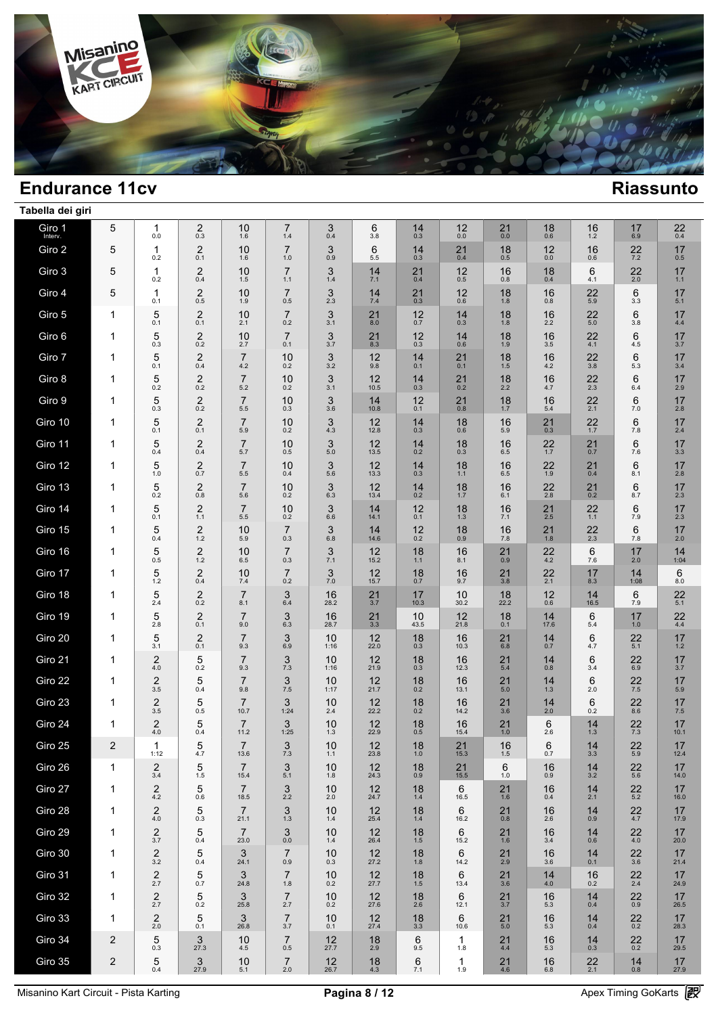

| Tabella dei giri  |                |                                  |                                |                           |                           |             |                 |             |               |                     |             |               |                |             |  |
|-------------------|----------------|----------------------------------|--------------------------------|---------------------------|---------------------------|-------------|-----------------|-------------|---------------|---------------------|-------------|---------------|----------------|-------------|--|
| Giro 1<br>Interv. | 5              | 1<br>$0.0\,$                     | $\overline{\mathbf{c}}$<br>0.3 | 10<br>1.6                 | $\overline{7}$<br>1.4     | 3<br>0.4    | 6<br>3.8        | 14<br>0.3   | 12<br>$0.0\,$ | 21<br>$0.0\,$       | 18<br>0.6   | 16<br>$1.2$   | 17<br>6.9      | 22<br>0.4   |  |
| Giro 2            | 5              | 1<br>0.2                         | $\overline{2}$<br>0.1          | 10<br>1.6                 | $\overline{7}$<br>1.0     | 3<br>0.9    | 6<br>5.5        | 14<br>0.3   | 21<br>0.4     | 18<br>0.5           | 12<br>0.0   | 16<br>0.6     | 22<br>7.2      | 17<br>0.5   |  |
| Giro 3            | 5              | 1<br>0.2                         | $\overline{2}$<br>0.4          | 10<br>1.5                 | $\overline{7}$<br>1.1     | 3<br>1.4    | 14<br>7.1       | 21<br>0.4   | 12<br>0.5     | 16<br>0.8           | 18<br>0.4   | 6<br>4.1      | 22<br>2.0      | 17<br>$1.1$ |  |
| Giro 4            | 5              | 1<br>0.1                         | $\overline{2}$<br>0.5          | 10<br>1.9                 | $\overline{7}$<br>0.5     | 3<br>2.3    | 14<br>7.4       | 21<br>0.3   | 12<br>0.6     | 18<br>1.8           | 16<br>0.8   | 22<br>5.9     | 6<br>3.3       | 17<br>5.1   |  |
| Giro 5            | 1              | 5<br>0.1                         | $\overline{2}$<br>0.1          | 10<br>2.1                 | $\overline{7}$<br>0.2     | 3<br>3.1    | 21<br>8.0       | 12<br>0.7   | 14<br>0.3     | 18<br>1.8           | 16<br>2.2   | 22<br>5.0     | 6<br>3.8       | 17<br>4.4   |  |
| Giro 6            | 1              | 5<br>0.3                         | $\overline{2}$<br>0.2          | 10<br>2.7                 | $\overline{7}$<br>0.1     | 3<br>3.7    | 21<br>8.3       | 12<br>0.3   | 14<br>0.6     | 18<br>1.9           | 16<br>3.5   | 22<br>4.1     | 6<br>4.5       | 17<br>3.7   |  |
| Giro 7            | 1              | 5<br>0.1                         | $\overline{2}$<br>0.4          | $\overline{7}$<br>4.2     | 10<br>0.2                 | 3<br>3.2    | 12<br>9.8       | 14<br>0.1   | 21<br>0.1     | 18<br>1.5           | 16<br>4.2   | 22<br>3.8     | 6<br>5.3       | 17<br>3.4   |  |
| Giro 8            | 1              | 5<br>0.2                         | $\overline{2}$<br>0.2          | $\overline{7}$<br>5.2     | 10<br>0.2                 | 3<br>3.1    | 12<br>10.5      | 14<br>0.3   | 21<br>0.2     | 18<br>2.2           | 16<br>4.7   | 22<br>2.3     | 6<br>6.4       | 17<br>2.9   |  |
| Giro 9            | 1              | 5<br>0.3                         | $\overline{2}$<br>0.2          | $\overline{7}$<br>5.5     | 10<br>0.3                 | 3<br>3.6    | 14<br>10.8      | 12<br>0.1   | 21<br>0.8     | 18<br>1.7           | 16<br>5.4   | 22<br>2.1     | 6<br>7.0       | 17<br>2.8   |  |
| Giro 10           | 1              | 5<br>0.1                         | $\overline{2}$<br>0.1          | $\overline{7}$<br>5.9     | 10<br>0.2                 | 3<br>4.3    | 12<br>12.8      | 14<br>0.3   | 18<br>0.6     | 16<br>5.9           | 21<br>0.3   | 22<br>1.7     | 6<br>7.8       | 17<br>2.4   |  |
| Giro 11           | 1              | 5<br>0.4                         | $\overline{2}$<br>0.4          | $\overline{7}$<br>5.7     | 10<br>0.5                 | 3<br>5.0    | 12<br>13.5      | 14<br>0.2   | 18<br>0.3     | 16<br>6.5           | 22<br>1.7   | 21<br>0.7     | 6<br>7.6       | 17<br>3.3   |  |
| Giro 12           | 1              | 5<br>$1.0$                       | $\overline{2}$<br>0.7          | $\overline{7}$<br>$5.5\,$ | 10<br>0.4                 | 3<br>5.6    | 12<br>13.3      | 14<br>0.3   | 18<br>1.1     | 16<br>6.5           | 22<br>1.9   | 21<br>0.4     | 6<br>8.1       | 17<br>2.8   |  |
| Giro 13           | 1              | 5<br>0.2                         | $\overline{2}$<br>0.8          | $\overline{7}$<br>5.6     | 10<br>0.2                 | 3<br>6.3    | 12<br>13.4      | 14<br>0.2   | 18<br>1.7     | 16<br>6.1           | 22<br>2.8   | 21<br>0.2     | 6<br>8.7       | 17<br>2.3   |  |
| Giro 14           | 1              | 5<br>0.1                         | 2<br>1.1                       | $\overline{7}$<br>$5.5\,$ | 10<br>0.2                 | 3<br>6.6    | 14<br>14.1      | 12<br>0.1   | 18<br>1.3     | 16<br>7.1           | 21<br>2.5   | 22<br>$1.1$   | 6<br>7.9       | 17<br>2.3   |  |
| Giro 15           | 1              | 5<br>0.4                         | 2<br>1.2                       | 10<br>5.9                 | $\overline{7}$<br>0.3     | 3<br>6.8    | 14<br>14.6      | 12<br>0.2   | 18<br>0.9     | 16<br>7.8           | 21<br>1.8   | 22<br>2.3     | 6<br>7.8       | 17<br>2.0   |  |
| Giro 16           | 1              | 5<br>0.5                         | 2<br>1.2                       | 10<br>6.5                 | $\overline{7}$<br>0.3     | 3<br>7.1    | 12<br>15.2      | 18<br>1.1   | 16<br>8.1     | 21<br>0.9           | 22<br>4.2   | 6<br>7.6      | 17<br>2.0      | 14<br>1:04  |  |
| Giro 17           | 1              | 5<br>$1.2$                       | 2<br>0.4                       | 10<br>7.4                 | $\overline{7}$<br>0.2     | 3<br>7.0    | 12<br>15.7      | 18<br>0.7   | 16<br>9.7     | 21<br>3.8           | 22<br>2.1   | 17<br>8.3     | 14<br>1:08     | 6<br>8.0    |  |
| Giro 18           | 1              | 5<br>2.4                         | $\overline{2}$<br>0.2          | $\overline{7}$<br>8.1     | 3<br>6.4                  | 16<br>28.2  | 21<br>3.7       | 17<br>10.3  | 10<br>30.2    | 18<br>22.2          | 12<br>0.6   | 14<br>16.5    | 6<br>7.9       | 22<br>5.1   |  |
| Giro 19           | 1              | 5<br>2.8                         | $\overline{2}$<br>0.1          | $\overline{7}$<br>9.0     | 3<br>6.3                  | 16<br>28.7  | 21<br>3.3       | 10<br>43.5  | 12<br>21.8    | 18<br>0.1           | 14<br>17.6  | 6<br>5.4      | 17<br>1.0      | 22<br>4.4   |  |
| Giro 20           | 1              | 5<br>3.1                         | $\overline{2}$<br>0.1          | $\overline{7}$<br>9.3     | 3<br>6.9                  | 10<br>1:16  | $12 \atop 22.0$ | 18<br>0.3   | 16<br>10.3    | $^{21}_{6.8}$       | 14<br>0.7   | 6<br>4.7      | $22$<br>$5.1$  | 17<br>1.2   |  |
| Giro 21           | 1              | 2<br>4.0                         | 5<br>0.2                       | $\overline{7}$<br>9.3     | 3<br>7.3                  | 10<br>1:16  | 12<br>21.9      | 18<br>0.3   | 16<br>12.3    | $21$ <sub>5.4</sub> | 14<br>0.8   | 6<br>3.4      | $^{22}_{6.9}$  | 17<br>3.7   |  |
| Giro 22           | 1              | $\overline{2}$<br>3.5            | 5<br>0.4                       | $\overline{7}$<br>9.8     | 3<br>7.5                  | 10<br>1:17  | 12<br>21.7      | 18<br>0.2   | 16<br>13.1    | 21<br>5.0           | 14<br>1.3   | 6<br>2.0      | 22<br>7.5      | 17<br>5.9   |  |
| Giro 23           | 1              | $\overline{2}$<br>3.5            | 5<br>0.5                       | $\overline{7}$<br>10.7    | 3<br>1:24                 | 10<br>2.4   | 12<br>22.2      | 18<br>0.2   | 16<br>14.2    | 21<br>3.6           | 14<br>2.0   | 6<br>0.2      | 22<br>8.6      | 17<br>7.5   |  |
| Giro 24           | 1              | $\overline{2}$<br>4.0            | 5<br>0.4                       | $\overline{7}$<br>11.2    | 3<br>1:25                 | 10<br>1.3   | 12<br>22.9      | 18<br>0.5   | 16<br>15.4    | 21<br>1.0           | 6<br>2.6    | 14<br>1.3     | 22<br>7.3      | 17<br>10.1  |  |
| Giro 25           | $\overline{2}$ | $\mathbf{1}$<br>1:12             | 5<br>4.7                       | 7<br>13.6                 | 3<br>7.3                  | 10<br>1.1   | 12<br>23.8      | 18<br>1.0   | 21<br>15.3    | 16<br>1.5           | 6<br>0.7    | 14<br>3.3     | 22<br>$5.9\,$  | 17<br>12.4  |  |
| Giro 26           | 1              | 2<br>$3.4$                       | 5<br>1.5                       | $\overline{7}$<br>15.4    | 3<br>5.1                  | 10<br>1.8   | 12<br>24.3      | 18<br>0.9   | 21<br>15.5    | 6<br>1.0            | 16<br>0.9   | 14<br>$3.2\,$ | 22<br>$5.6\,$  | 17<br>14.0  |  |
| Giro 27           | 1              | 2<br>4.2                         | 5<br>0.6                       | $\overline{7}$<br>18.5    | 3<br>2.2                  | 10<br>2.0   | 12<br>24.7      | 18<br>1.4   | 6<br>16.5     | 21<br>1.6           | 16<br>0.4   | 14<br>2.1     | 22<br>$5.2\,$  | 17<br>16.0  |  |
| Giro 28           | 1              | $\overline{\mathbf{c}}$<br>$4.0$ | 5<br>0.3                       | $\overline{7}$<br>21.1    | 3<br>1.3                  | 10<br>1.4   | 12<br>25.4      | 18<br>1.4   | 6<br>16.2     | 21<br>0.8           | 16<br>2.6   | 14<br>0.9     | 22<br>4.7      | 17<br>17.9  |  |
| Giro 29           | 1              | 2<br>3.7                         | 5<br>0.4                       | $\overline{7}$<br>23.0    | 3<br>$0.0\,$              | 10<br>1.4   | 12<br>26.4      | 18<br>$1.5$ | 6<br>15.2     | 21<br>1.6           | 16<br>3.4   | 14<br>0.6     | 22<br>4.0      | 17<br>20.0  |  |
| Giro 30           | 1              | $\overline{\mathbf{c}}$<br>3.2   | 5<br>0.4                       | 3<br>24.1                 | $\overline{7}$<br>0.9     | 10<br>0.3   | 12<br>27.2      | 18<br>1.8   | 6<br>14.2     | 21<br>2.9           | 16<br>3.6   | 14<br>0.1     | 22<br>3.6      | 17<br>21.4  |  |
| Giro 31           | 1              | $\sqrt{2}$<br>2.7                | 5<br>0.7                       | 3<br>24.8                 | $\overline{7}$<br>$1.8$   | 10<br>0.2   | 12<br>27.7      | 18<br>$1.5$ | 6<br>13.4     | 21<br>3.6           | 14<br>$4.0$ | 16<br>0.2     | 22<br>2.4      | 17<br>24.9  |  |
| Giro 32           | 1              | $\overline{2}$<br>2.7            | 5<br>0.2                       | 3<br>25.8                 | $\overline{7}$<br>$2.7\,$ | 10<br>0.2   | 12<br>27.6      | 18<br>2.6   | 6<br>12.1     | 21<br>3.7           | 16<br>5.3   | 14<br>0.4     | 22<br>0.9      | 17<br>26.5  |  |
| Giro 33           | 1              | $^{2}_{2.0}$                     | 5<br>0.1                       | 3<br>26.8                 | $\overline{7}$<br>3.7     | 10<br>0.1   | 12<br>27.4      | 18<br>3.3   | 6<br>10.6     | 21<br>5.0           | 16<br>5.3   | 14<br>0.4     | $^{22}_{0.2}$  | 17<br>28.3  |  |
| Giro 34           | 2              | 5<br>0.3                         | 3<br>27.3                      | 10<br>4.5                 | $\overline{7}$<br>0.5     | 12<br>27.7  | $18_{2.9}$      | 6<br>9.5    | 1<br>1.8      | 21<br>4.4           | 16<br>5.3   | 14<br>0.3     | $^{22}_{0.2}$  | 17<br>29.5  |  |
| Giro 35           | 2              | 5<br>0.4                         | $3$ <sub>27.9</sub>            | 10<br>5.1                 | $\overline{7}$<br>2.0     | $12 \n26.7$ | $18_{4.3}$      | 6<br>7.1    | 1<br>1.9      | $^{21}_{4.6}$       | 16<br>6.8   | 22<br>2.1     | $14 \atop 0.8$ | 17<br>27.9  |  |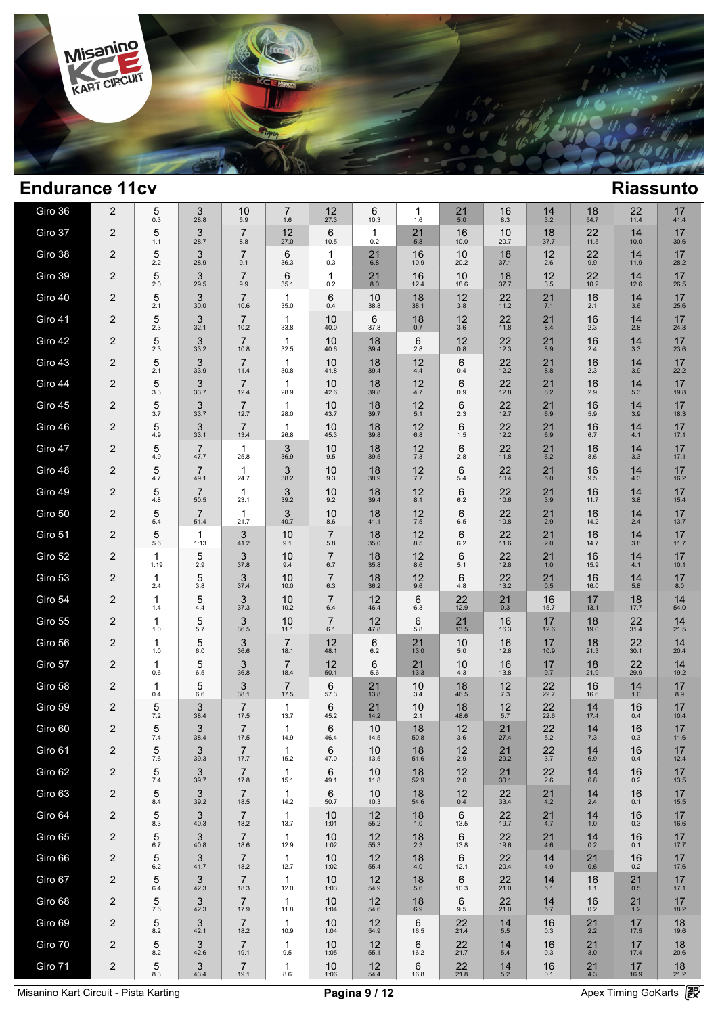

| Giro 36 | 2              | 5<br>0.3            | 3<br>28.8              | 10<br>5.9                         | 7<br>1.6               | 12<br>27.3            | 6<br>10.3          | 1<br>1.6      | 21<br>5.0     | 16<br>8.3      | 14<br>3.2        | 18<br>54.7    | 22<br>11.4  | 17<br>41.4           |  |
|---------|----------------|---------------------|------------------------|-----------------------------------|------------------------|-----------------------|--------------------|---------------|---------------|----------------|------------------|---------------|-------------|----------------------|--|
| Giro 37 | 2              | 5<br>1.1            | 3<br>28.7              | $\overline{7}$<br>8.8             | 12<br>27.0             | 6<br>10.5             | $\mathbf 1$<br>0.2 | 21<br>5.8     | 16<br>10.0    | 10<br>20.7     | 18<br>37.7       | 22<br>11.5    | 14<br>10.0  | 17<br>30.6           |  |
| Giro 38 | $\overline{2}$ | 5<br>2.2            | 3<br>28.9              | $\overline{7}$<br>9.1             | 6<br>36.3              | 1<br>0.3              | 21<br>6.8          | 16<br>10.9    | 10<br>20.2    | 18<br>37.1     | 12<br>2.6        | 22<br>9.9     | 14<br>11.9  | 17<br>28.2           |  |
| Giro 39 | $\overline{2}$ | 5<br>2.0            | 3<br>29.5              | $\overline{7}$<br>9.9             | 6<br>35.1              | $\mathbf{1}$<br>0.2   | 21<br>8.0          | 16<br>12.4    | 10<br>18.6    | 18<br>37.7     | 12<br>3.5        | 22<br>10.2    | 14<br>12.6  | 17<br>26.5           |  |
| Giro 40 | $\overline{2}$ | 5<br>2.1            | 3<br>30.0              | $\overline{7}$<br>10.6            | 1<br>35.0              | 6<br>0.4              | 10<br>38.8         | 18<br>38.1    | 12<br>3.8     | 22<br>11.2     | $^{21}_{7.1}$    | 16<br>2.1     | 14<br>3.6   | 17<br>25.6           |  |
| Giro 41 | $\overline{2}$ | 5<br>2.3            | 3<br>32.1              | $\overline{7}$<br>10.2            | 1<br>33.8              | 10<br>40.0            | 6<br>37.8          | 18<br>0.7     | 12<br>3.6     | 22<br>11.8     | 21<br>8.4        | 16<br>2.3     | 14<br>2.8   | 17<br>24.3           |  |
| Giro 42 | $\overline{2}$ | 5<br>2.3            | 3<br>33.2              | $\overline{7}$<br>10.8            | 1<br>32.5              | 10<br>40.6            | 18<br>39.4         | 6<br>2.8      | 12<br>0.8     | 22<br>12.3     | 21<br>8.9        | 16<br>2.4     | 14<br>3.3   | 17<br>23.6           |  |
| Giro 43 | $\overline{2}$ | 5<br>2.1            | 3<br>33.9              | $\overline{7}$<br>11.4            | 1<br>30.8              | 10<br>41.8            | 18<br>39.4         | 12<br>4.4     | 6<br>0.4      | $22$<br>12.2   | 21<br>8.8        | 16<br>2.3     | 14<br>3.9   | 17<br>22.2           |  |
| Giro 44 | $\overline{2}$ | 5<br>3.3            | 3<br>33.7              | $\overline{7}$<br>12.4            | 1<br>28.9              | 10<br>42.6            | 18<br>39.8         | 12<br>4.7     | 6<br>0.9      | 22<br>12.8     | 21<br>8.2        | 16<br>2.9     | 14<br>5.3   | 17<br>19.8           |  |
| Giro 45 | $\overline{2}$ | 5<br>3.7            | 3<br>33.7              | $\overline{7}$<br>12.7            | 1<br>28.0              | 10<br>43.7            | 18<br>39.7         | 12<br>5.1     | 6<br>2.3      | $22$<br>12.7   | 21<br>6.9        | 16<br>5.9     | 14<br>3.9   | 17<br>18.3           |  |
| Giro 46 | $\overline{c}$ | 5<br>4.9            | 3<br>33.1              | $\overline{7}$<br>13.4            | $\mathbf{1}$<br>26.8   | 10<br>45.3            | 18<br>39.8         | 12<br>6.8     | 6<br>1.5      | 22<br>12.2     | 21<br>6.9        | 16<br>6.7     | 14<br>4.1   | 17<br>17.1           |  |
| Giro 47 | $\overline{2}$ | 5<br>4.9            | $\overline{7}$<br>47.7 | 1<br>25.8                         | 3<br>36.9              | 10<br>9.5             | 18<br>39.5         | 12<br>7.3     | 6<br>2.8      | 22<br>11.8     | 21<br>6.2        | 16<br>8.6     | 14<br>3.3   | 17<br>17.1           |  |
| Giro 48 | $\overline{c}$ | 5<br>4.7            | $\overline{7}$<br>49.1 | 1<br>24.7                         | 3<br>38.2              | 10<br>9.3             | 18<br>38.9         | 12<br>7.7     | 6<br>5.4      | 22<br>10.4     | 21<br>5.0        | 16<br>9.5     | 14<br>4.3   | 17<br>16.2           |  |
| Giro 49 | $\overline{2}$ | 5<br>4.8            | $\overline{7}$<br>50.5 | $\mathbf{1}$<br>23.1              | 3<br>39.2              | 10<br>9.2             | 18<br>39.4         | 12<br>8.1     | 6<br>6.2      | 22<br>10.6     | 21<br>3.9        | 16<br>11.7    | 14<br>3.8   | 17<br>15.4           |  |
| Giro 50 | $\overline{2}$ | 5<br>5.4            | $\overline{7}$<br>51.4 | $\mathbf{1}$<br>21.7              | 3<br>40.7              | 10<br>8.6             | 18<br>41.1         | 12<br>$7.5\,$ | 6<br>6.5      | 22<br>10.8     | 21<br>2.9        | 16<br>14.2    | 14<br>2.4   | 17<br>13.7           |  |
| Giro 51 | $\overline{2}$ | 5<br>5.6            | 1<br>1:13              | 3<br>41.2                         | 10<br>9.1              | $\overline{7}$<br>5.8 | 18<br>35.0         | 12<br>8.5     | 6<br>6.2      | 22<br>11.6     | 21<br>2.0        | 16<br>14.7    | 14<br>3.8   | 17<br>11.7           |  |
| Giro 52 | $\overline{2}$ | $\mathbf 1$<br>1:19 | 5<br>2.9               | $\ensuremath{\mathsf{3}}$<br>37.8 | 10<br>9.4              | $\overline{7}$<br>6.7 | 18<br>35.8         | 12<br>8.6     | 6<br>5.1      | 22<br>12.8     | 21<br>1.0        | 16<br>15.9    | 14<br>4.1   | 17<br>10.1           |  |
| Giro 53 | $\overline{2}$ | 1<br>2.4            | 5<br>3.8               | 3<br>37.4                         | 10<br>10.0             | $\overline{7}$<br>6.3 | 18<br>36.2         | 12<br>9.6     | 6<br>4.8      | 22<br>13.2     | 21<br>0.5        | 16<br>16.0    | 14<br>5.8   | 17<br>$8.0\,$        |  |
| Giro 54 | $\overline{2}$ | 1<br>1.4            | 5<br>4.4               | 3<br>37.3                         | 10<br>10.2             | $\overline{7}$<br>6.4 | 12<br>46.4         | 6<br>6.3      | 22<br>12.9    | $^{21}_{0.3}$  | 16<br>15.7       | 17<br>13.1    | 18<br>17.7  | $14$ <sub>54.0</sub> |  |
| Giro 55 | $\overline{2}$ | 1<br>1.0            | 5<br>5.7               | 3<br>36.5                         | 10<br>11.1             | $\overline{7}$<br>6.1 | $12$<br>47.8       | 6<br>5.8      | 21<br>13.5    | 16<br>16.3     | 17<br>12.6       | 18<br>19.0    | 22<br>31.4  | 14<br>21.5           |  |
| Giro 56 | $\overline{c}$ | 1<br>1.0            | 5<br>6.0               | 3<br>36.6                         | $\overline{7}$<br>18.1 | 12<br>48.1            | 6<br>6.2           | 21<br>13.0    | 10<br>5.0     | 16<br>12.8     | 17<br>10.9       | 18<br>21.3    | 22<br>30.1  | 14<br>20.4           |  |
| Giro 57 | $\overline{2}$ | 1<br>0.6            | 5<br>6.5               | 3<br>36.8                         | $\overline{7}$<br>18.4 | 12<br>50.1            | 6<br>5.6           | 21<br>13.3    | 10<br>4.3     | 16<br>13.8     | 17<br>9.7        | 18<br>21.9    | 22<br>29.9  | 14<br>19.2           |  |
| Giro 58 | $\overline{c}$ | 1<br>0.4            | 5<br>6.6               | 3<br>38.1                         | $\overline{7}$<br>17.5 | 6<br>57.3             | 21<br>13.8         | 10<br>3.4     | 18<br>46.5    | 12<br>7.3      | 22<br>22.7       | 16<br>16.6    | 14<br>1.0   | 17<br>8.9            |  |
| Giro 59 | $\overline{2}$ | 5<br>7.2            | 3<br>38.4              | $\overline{7}$<br>17.5            | 1<br>13.7              | 6<br>45.2             | 21<br>14.2         | 10<br>2.1     | 18<br>48.6    | 12<br>5.7      | 22<br>22.6       | 14<br>17.4    | 16<br>0.4   | 17<br>10.4           |  |
| Giro 60 | $\overline{2}$ | 5<br>7.4            | 3<br>38.4              | $\overline{7}$<br>17.5            | 1<br>14.9              | 6<br>46.4             | 10<br>14.5         | 18<br>50.8    | 12<br>3.6     | 21<br>27.4     | 22<br>5.2        | 14<br>7.3     | 16<br>0.3   | 17<br>11.6           |  |
| Giro 61 | 2              | 5<br>$7.6\,$        | 3<br>39.3              | $\overline{7}$<br>17.7            | 1<br>15.2              | 6<br>47.0             | 10<br>13.5         | 18<br>51.6    | 12<br>2.9     | 21<br>29.2     | $\frac{22}{3.7}$ | 14<br>6.9     | 16<br>0.4   | 17<br>12.4           |  |
| Giro 62 | $\overline{2}$ | 5<br>7.4            | 3<br>39.7              | $\overline{7}$<br>17.8            | 1<br>15.1              | 6<br>49.1             | 10<br>11.8         | 18<br>52.9    | 12<br>$2.0\,$ | 21<br>30.1     | 22<br>2.6        | 14<br>6.8     | 16<br>0.2   | 17<br>13.5           |  |
| Giro 63 | $\overline{2}$ | 5<br>8.4            | 3<br>39.2              | 7<br>18.5                         | 1<br>14.2              | 6<br>50.7             | 10<br>10.3         | 18<br>54.6    | 12<br>0.4     | 22<br>33.4     | 21<br>4.2        | 14<br>2.4     | 16<br>0.1   | 17<br>15.5           |  |
| Giro 64 | $\overline{2}$ | 5<br>8.3            | 3<br>40.3              | 7<br>18.2                         | 1<br>13.7              | 10<br>1:01            | 12<br>55.2         | 18<br>$1.0$   | 6<br>13.5     | 22<br>19.7     | 21<br>4.7        | 14<br>1.0     | 16<br>0.3   | 17<br>16.6           |  |
| Giro 65 | $\overline{2}$ | 5<br>6.7            | 3<br>40.8              | $\overline{7}$<br>18.6            | 1<br>12.9              | 10<br>1:02            | 12<br>55.3         | 18<br>2.3     | 6<br>13.8     | 22<br>19.6     | 21<br>4.6        | 14<br>0.2     | 16<br>0.1   | 17<br>17.7           |  |
| Giro 66 | $\overline{2}$ | 5<br>6.2            | 3<br>41.7              | 7<br>18.2                         | 1<br>12.7              | 10<br>1:02            | 12<br>55.4         | 18<br>4.0     | 6<br>12.1     | 22<br>20.4     | 14<br>4.9        | 21<br>0.6     | 16<br>0.2   | 17<br>17.6           |  |
| Giro 67 | $\overline{2}$ | 5<br>6.4            | 3<br>42.3              | $\overline{7}$<br>18.3            | 1<br>12.0              | 10<br>1:03            | 12<br>54.9         | 18<br>5.6     | 6<br>10.3     | 22<br>21.0     | 14<br>5.1        | 16<br>1.1     | 21<br>0.5   | 17<br>17.1           |  |
| Giro 68 | $\overline{2}$ | 5<br>7.6            | 3<br>42.3              | $\overline{7}$<br>17.9            | $\mathbf 1$<br>11.8    | 10<br>1:04            | $12$<br>54.6       | 18<br>6.9     | 6<br>9.5      | $22$<br>$21.0$ | 14<br>5.7        | $16_{0.2}$    | $21$<br>1.2 | 17<br>18.2           |  |
| Giro 69 | $\overline{2}$ | 5<br>8.2            | 3<br>42.1              | $\overline{7}$<br>18.2            | 1<br>10.9              | 10<br>1:04            | $12$<br>54.9       | 6<br>16.5     | 22<br>21.4    | 14<br>5.5      | 16<br>0.3        | $^{21}_{2.2}$ | 17<br>17.5  | 18<br>19.6           |  |
| Giro 70 | $\overline{2}$ | 5<br>8.2            | 3<br>42.6              | $\overline{7}$<br>19.1            | 1<br>9.5               | 10<br>1:05            | 12<br>55.1         | 6<br>16.2     | 22<br>21.7    | 14<br>5.4      | 16<br>0.3        | 21<br>3.0     | 17<br>17.4  | 18<br>20.6           |  |
| Giro 71 | $\overline{c}$ | 5<br>8.3            | 3<br>43.4              | $\overline{7}$<br>19.1            | 1<br>8.6               | 10<br>1:06            | 12<br>54.4         | 6<br>16.8     | 22<br>21.8    | 14<br>$5.2$    | 16<br>0.1        | 21<br>4.3     | 17<br>16.9  | 18<br>21.2           |  |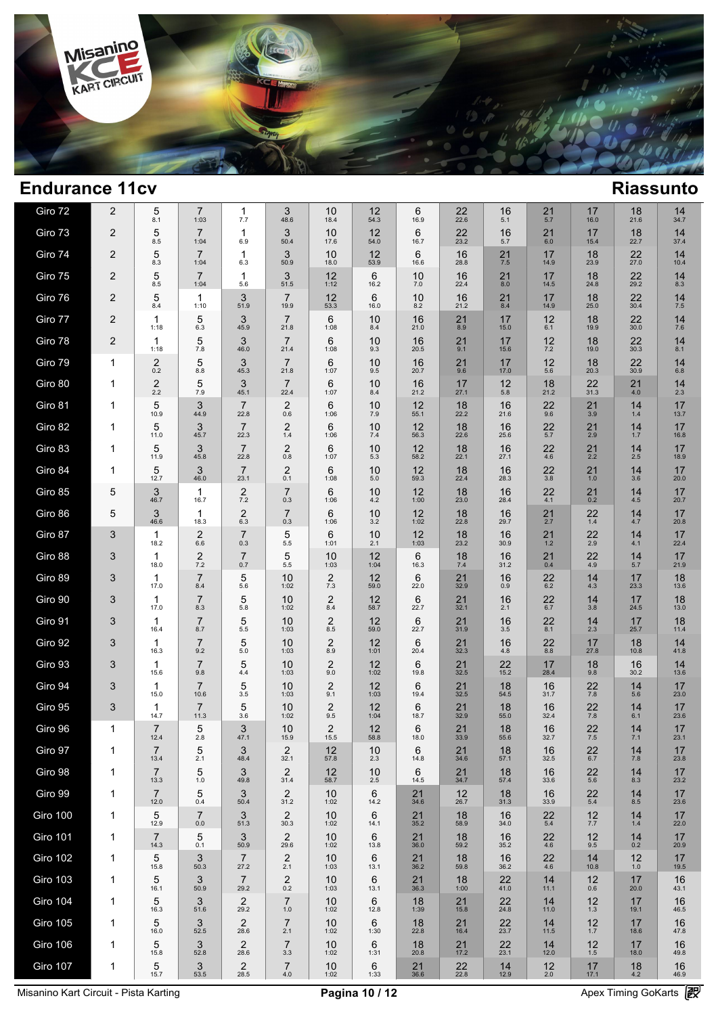

| Giro 72         | $\overline{2}$ | 5<br>8.1               | $\overline{7}$<br>1:03         | 1<br>7.7                       | 3<br>48.6               | 10<br>18.4             | $12$<br>54.3 | 6<br>16.9      | 22<br>22.6           | 16<br>5.1     | 21<br>5.7           | 17<br>16.0    | 18<br>21.6          | $14 \over 34.7$ |  |
|-----------------|----------------|------------------------|--------------------------------|--------------------------------|-------------------------|------------------------|--------------|----------------|----------------------|---------------|---------------------|---------------|---------------------|-----------------|--|
| Giro 73         | $\overline{2}$ | 5<br>8.5               | $\overline{7}$<br>1:04         | 1<br>6.9                       | 3<br>50.4               | 10<br>17.6             | 12<br>54.0   | 6<br>16.7      | 22<br>23.2           | 16<br>5.7     | 21<br>$6.0\,$       | 17<br>15.4    | 18<br>22.7          | 14<br>37.4      |  |
| Giro 74         | $\overline{c}$ | 5<br>8.3               | $\overline{7}$<br>1:04         | 1<br>6.3                       | 3<br>50.9               | 10<br>18.0             | 12<br>53.9   | 6<br>16.6      | 16<br>28.8           | 21<br>7.5     | 17<br>14.9          | 18<br>23.9    | 22<br>27.0          | 14<br>10.4      |  |
| Giro 75         | $\overline{2}$ | 5<br>8.5               | $\overline{7}$<br>1:04         | $\mathbf 1$<br>5.6             | 3<br>51.5               | 12<br>1:12             | 6<br>16.2    | 10<br>7.0      | 16<br>22.4           | 21<br>8.0     | 17<br>14.5          | 18<br>24.8    | 22<br>29.2          | 14<br>8.3       |  |
| Giro 76         | $\overline{c}$ | 5<br>8.4               | 1<br>1:10                      | 3<br>51.9                      | $\overline{7}$<br>19.9  | 12<br>53.3             | 6<br>16.0    | 10<br>8.2      | 16<br>21.2           | $^{21}_{8.4}$ | 17<br>14.9          | 18<br>25.0    | $22$<br>30.4        | $14 \atop 7.5$  |  |
| Giro 77         | $\overline{c}$ | 1<br>1:18              | 5<br>6.3                       | 3<br>45.9                      | $\overline{7}$<br>21.8  | 6<br>1:08              | 10<br>8.4    | 16<br>21.0     | 21<br>8.9            | 17<br>15.0    | 12<br>6.1           | 18<br>19.9    | 22<br>30.0          | 14<br>7.6       |  |
| Giro 78         | $\overline{2}$ | 1<br>1:18              | 5<br>7.8                       | 3<br>46.0                      | $\overline{7}$<br>21.4  | 6<br>1:08              | 10<br>9.3    | 16<br>20.5     | 21<br>9.1            | 17<br>15.6    | 12<br>$7.2\,$       | 18<br>19.0    | 22<br>30.3          | 14<br>8.1       |  |
| Giro 79         | $\mathbf{1}$   | 2<br>0.2               | 5<br>8.8                       | 3<br>45.3                      | $\overline{7}$<br>21.8  | 6<br>1:07              | 10<br>9.5    | 16<br>20.7     | 21<br>9.6            | 17<br>17.0    | 12<br>5.6           | 18<br>20.3    | 22<br>30.9          | 14<br>6.8       |  |
| Giro 80         | $\mathbf{1}$   | 2<br>2.2               | 5<br>7.9                       | 3<br>45.1                      | $\overline{7}$<br>22.4  | 6<br>1:07              | 10<br>8.4    | 16<br>21.2     | 17<br>27.1           | 12<br>5.8     | 18<br>21.2          | 22<br>31.3    | 21<br>4.0           | 14<br>2.3       |  |
| Giro 81         | 1              | 5<br>10.9              | 3<br>44.9                      | $\overline{7}$<br>22.8         | $\overline{c}$<br>0.6   | 6<br>1:06              | 10<br>7.9    | 12<br>55.1     | 18<br>22.2           | 16<br>21.6    | $^{22}_{9.6}$       | 21<br>3.9     | 14<br>1.4           | 17<br>13.7      |  |
| Giro 82         | 1              | 5<br>11.0              | 3<br>45.7                      | $\overline{7}$<br>22.3         | $\overline{2}$<br>1.4   | 6<br>1:06              | 10<br>7.4    | 12<br>56.3     | 18<br>22.6           | 16<br>25.6    | $22$<br>5.7         | 21<br>2.9     | 14<br>1.7           | 17<br>16.8      |  |
| Giro 83         | 1              | 5<br>11.9              | 3<br>45.8                      | $\overline{7}$<br>22.8         | 2<br>0.8                | 6<br>1:07              | 10<br>5.3    | 12<br>58.2     | 18<br>22.1           | 16<br>27.1    | 22<br>4.6           | $^{21}_{2.2}$ | 14<br>2.5           | 17<br>18.9      |  |
| Giro 84         | $\mathbf{1}$   | 5<br>12.7              | 3<br>46.0                      | $\overline{7}$<br>23.1         | $\overline{2}$<br>0.1   | 6<br>1:08              | 10<br>5.0    | $12$<br>$59.3$ | 18<br>22.4           | 16<br>28.3    | $\frac{22}{3.8}$    | 21<br>1.0     | 14<br>3.6           | 17<br>20.0      |  |
| Giro 85         | 5              | 3<br>46.7              | $\mathbf{1}$<br>16.7           | $\overline{2}$<br>7.2          | $\overline{7}$<br>0.3   | 6<br>1:06              | 10<br>4.2    | 12<br>1:00     | 18<br>23.0           | 16<br>28.4    | 22<br>4.1           | 21<br>0.2     | 14<br>4.5           | 17<br>20.7      |  |
| Giro 86         | 5              | 3<br>46.6              | $\mathbf{1}$<br>18.3           | $\overline{\mathbf{c}}$<br>6.3 | $\overline{7}$<br>0.3   | 6<br>1:06              | 10<br>3.2    | 12<br>1:02     | 18<br>22.8           | 16<br>29.7    | $21$ <sub>2.7</sub> | 22<br>$1.4$   | $14 \over 4.7$      | 17<br>20.8      |  |
| Giro 87         | 3              | 1<br>18.2              | $\overline{2}$<br>6.6          | $\overline{7}$<br>0.3          | 5<br>5.5                | 6<br>1:01              | 10<br>2.1    | 12<br>1:03     | 18<br>23.2           | 16<br>30.9    | $21$<br>$1.2$       | 22<br>2.9     | 14<br>4.1           | 17<br>22.4      |  |
| Giro 88         | 3              | 1<br>18.0              | $\overline{\mathbf{c}}$<br>7.2 | $\overline{7}$<br>0.7          | 5<br>5.5                | 10<br>1:03             | 12<br>1:04   | 6<br>16.3      | 18<br>7.4            | 16<br>31.2    | $^{21}_{0.4}$       | 22<br>4.9     | $14$ <sub>5.7</sub> | 17<br>21.9      |  |
| Giro 89         | 3              | 1<br>17.0              | $\overline{7}$<br>8.4          | 5<br>5.6                       | 10<br>1:02              | $\overline{2}$<br>7.3  | 12<br>59.0   | 6<br>22.0      | 21<br>32.9           | 16<br>0.9     | 22<br>$6.2\,$       | 14<br>4.3     | 17<br>23.3          | 18<br>13.6      |  |
| Giro 90         | 3              | 1<br>17.0              | $\overline{7}$<br>8.3          | 5<br>5.8                       | 10<br>1:02              | $^{2}_{8.4}$           | 12<br>58.7   | 6<br>22.7      | 21<br>32.1           | 16<br>2.1     | $22$<br>6.7         | 14<br>3.8     | 17<br>24.5          | 18<br>13.0      |  |
| Giro 91         | 3              | 1<br>16.4              | $\overline{7}$<br>8.7          | 5<br>$5.5\,$                   | 10<br>1:03              | $\overline{c}$<br>8.5  | 12<br>59.0   | 6<br>22.7      | 21<br>31.9           | 16<br>3.5     | 22<br>8.1           | 14<br>2.3     | 17<br>25.7          | 18<br>11.4      |  |
| Giro 92         | 3              | 1<br>16.3              | $\overline{7}$<br>9.2          | 5<br>$5.0\,$                   | 10<br>1:03              | $\overline{2}$<br>8.9  | 12<br>1:01   | 6<br>20.4      | 21<br>32.3           | 16<br>4.8     | 22<br>8.8           | 17<br>27.8    | 18<br>10.8          | 14<br>41.8      |  |
| Giro 93         | 3              | 1<br>15.6              | $\overline{7}$<br>9.8          | 5<br>4.4                       | 10<br>1:03              | $\overline{c}$<br>9.0  | 12<br>1:02   | 6<br>19.8      | 21<br>32.5           | 22<br>15.2    | 17<br>28.4          | 18<br>9.8     | 16<br>30.2          | $14 \over 13.6$ |  |
| Giro 94         | 3              | 1<br>15.0              | $\overline{7}$<br>10.6         | 5<br>3.5                       | 10<br>1:03              | $\overline{c}$<br>9.1  | 12<br>1:03   | 6<br>19.4      | 21<br>32.5           | 18<br>54.5    | 16<br>31.7          | 22<br>7.8     | 14<br>5.6           | 17<br>23.0      |  |
| Giro 95         | 3              | $\mathbf{1}$<br>14.7   | $\overline{7}$<br>11.3         | 5<br>3.6                       | 10<br>1:02              | $\overline{c}$<br>9.5  | 12<br>1:04   | 6<br>18.7      | 21<br>32.9           | 18<br>55.0    | 16<br>32.4          | 22<br>7.8     | 14<br>6.1           | 17<br>23.6      |  |
| Giro 96         | $\mathbf{1}$   | $\overline{7}$<br>12.4 | 5<br>2.8                       | 3<br>47.1                      | 10<br>15.9              | $\overline{2}$<br>15.5 | 12<br>58.8   | 6<br>18.0      | 21<br>33.9           | 18<br>55.6    | 16<br>32.7          | 22<br>7.5     | 14<br>7.1           | 17<br>23.1      |  |
| Giro 97         | $\mathbf 1$    | 7<br>13.4              | 5<br>2.1                       | 3<br>48.4                      | 2<br>32.1               | 12<br>57.8             | 10<br>2.3    | 6<br>14.8      | 21<br>34.6           | 18<br>57.1    | 16<br>32.5          | $22$<br>6.7   | 14<br>7.8           | 17<br>23.8      |  |
| Giro 98         | $\mathbf 1$    | $\overline{7}$<br>13.3 | 5<br>1.0                       | 3<br>49.8                      | $\overline{2}$<br>31.4  | 12<br>58.7             | 10<br>2.5    | 6<br>14.5      | $21$ <sub>34.7</sub> | 18<br>57.4    | 16<br>33.6          | 22<br>5.6     | 14<br>8.3           | 17<br>23.2      |  |
| Giro 99         | $\mathbf{1}$   | $\overline{7}$<br>12.0 | 5<br>0.4                       | 3<br>50.4                      | 2<br>31.2               | 10<br>1:02             | 6<br>14.2    | 21<br>34.6     | 12<br>26.7           | 18<br>31.3    | 16<br>33.9          | 22<br>$5.4\,$ | 14<br>8.5           | 17<br>23.6      |  |
| Giro 100        | $\mathbf{1}$   | 5<br>12.9              | $\overline{7}$<br>$0.0\,$      | 3<br>51.3                      | 2<br>30.3               | 10<br>1:02             | 6<br>14.1    | 21<br>35.2     | 18<br>58.9           | 16<br>34.0    | 22<br>5.4           | 12<br>7.7     | 14<br>$1.4$         | 17<br>22.0      |  |
| <b>Giro 101</b> | $\mathbf{1}$   | $\overline{7}$<br>14.3 | 5<br>0.1                       | 3<br>50.9                      | 2<br>29.6               | 10<br>1:02             | 6<br>13.8    | 21<br>36.0     | 18<br>59.2           | 16<br>35.2    | 22<br>4.6           | 12<br>9.5     | 14<br>0.2           | 17<br>20.9      |  |
| <b>Giro 102</b> | 1              | 5<br>15.8              | 3<br>50.3                      | $\overline{7}$<br>27.2         | $\overline{2}$<br>2.1   | 10<br>1:03             | 6<br>13.1    | 21<br>36.2     | 18<br>59.8           | 16<br>36.2    | 22<br>4.6           | 14<br>10.8    | 12<br>1.0           | 17<br>19.5      |  |
| <b>Giro 103</b> | $\mathbf{1}$   | 5<br>16.1              | 3<br>50.9                      | $\overline{7}$<br>29.2         | $\overline{2}$<br>0.2   | 10<br>1:03             | 6<br>13.1    | 21<br>36.3     | 18<br>1:00           | 22<br>41.0    | 14<br>11.1          | 12<br>0.6     | 17<br>20.0          | 16<br>43.1      |  |
| <b>Giro 104</b> | $\mathbf{1}$   | 5<br>16.3              | 3<br>51.6                      | $^{2}_{29.2}$                  | $\overline{7}$<br>$1.0$ | 10<br>1:02             | 6<br>12.8    | 18<br>1:39     | $21$<br>15.8         | 22<br>24.8    | 14<br>11.0          | 12<br>1.3     | 17<br>19.1          | 16<br>46.5      |  |
| <b>Giro 105</b> | $\mathbf{1}$   | 5<br>16.0              | 3<br>52.5                      | $\overline{2}$<br>28.6         | $\overline{7}$<br>2.1   | 10<br>1:02             | 6<br>1:30    | 18<br>22.8     | 21<br>16.4           | 22<br>23.7    | 14<br>11.5          | 12<br>1.7     | 17<br>18.6          | 16<br>47.8      |  |
| Giro 106        | 1              | 5<br>15.8              | 3<br>52.8                      | $\overline{2}$<br>28.6         | $\overline{7}$<br>3.3   | 10<br>1:02             | 6<br>1:31    | 18<br>20.8     | 21<br>17.2           | 22<br>23.1    | 14<br>12.0          | 12<br>$1.5$   | 17<br>18.0          | 16<br>49.8      |  |
| <b>Giro 107</b> | 1              | 5<br>15.7              | 3<br>53.5                      | $\overline{2}$<br>28.5         | $\overline{7}$<br>$4.0$ | 10<br>1:02             | 6<br>1:33    | 21<br>36.6     | 22<br>22.8           | 14<br>12.9    | 12<br>2.0           | 17<br>17.1    | 18<br>$4.2\,$       | 16<br>46.9      |  |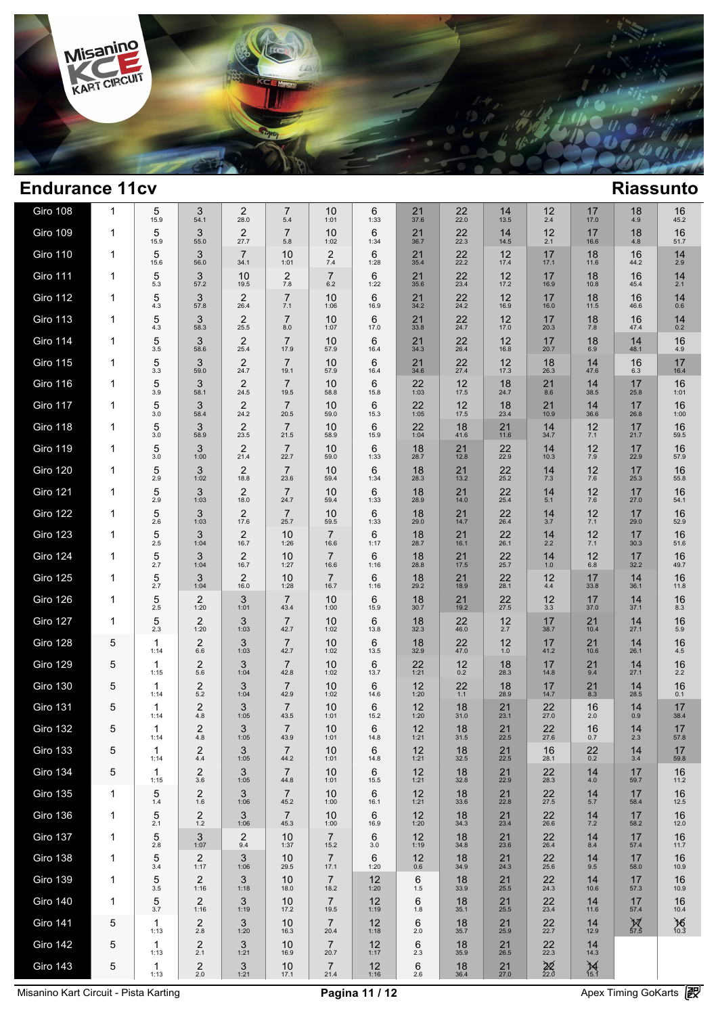

| Giro 108        | 1 | 5<br>15.9  | 3<br>54.1              | $\overline{2}$<br>28.0   | 7<br>5.4               | 10<br>1:01             | 6<br>1:33    | 21<br>37.6 | 22<br>22.0           | 14<br>13.5     | 12<br>2.4       | 17<br>17.0             | 18<br>4.9                    | 16<br>45.2        |  |
|-----------------|---|------------|------------------------|--------------------------|------------------------|------------------------|--------------|------------|----------------------|----------------|-----------------|------------------------|------------------------------|-------------------|--|
| <b>Giro 109</b> | 1 | 5<br>15.9  | 3<br>55.0              | $\boldsymbol{2}$<br>27.7 | $\overline{7}$<br>5.8  | 10<br>1:02             | 6<br>1:34    | 21<br>36.7 | 22<br>22.3           | 14<br>14.5     | 12<br>2.1       | 17<br>16.6             | 18<br>4.8                    | 16<br>51.7        |  |
| <b>Giro 110</b> | 1 | 5<br>15.6  | 3<br>56.0              | $\overline{7}$<br>34.1   | 10<br>1:01             | $\overline{2}$<br>7.4  | 6<br>1:28    | 21<br>35.4 | 22<br>22.2           | 12<br>17.4     | 17<br>17.1      | 18<br>11.6             | 16<br>44.2                   | 14<br>2.9         |  |
| Giro 111        | 1 | 5<br>5.3   | 3<br>57.2              | 10<br>19.5               | $\overline{2}$<br>7.8  | $\overline{7}$<br>6.2  | 6<br>1:22    | 21<br>35.6 | 22<br>23.4           | 12<br>17.2     | 17<br>16.9      | 18<br>10.8             | 16<br>45.4                   | 14<br>2.1         |  |
| Giro 112        | 1 | 5<br>4.3   | 3<br>57.8              | $\overline{2}$<br>26.4   | $\overline{7}$<br>7.1  | 10<br>1:06             | 6<br>16.9    | 21<br>34.2 | 22<br>24.2           | 12<br>16.9     | 17<br>16.0      | 18<br>11.5             | 16<br>46.6                   | 14<br>0.6         |  |
| <b>Giro 113</b> | 1 | 5<br>4.3   | 3<br>58.3              | $\overline{2}$<br>25.5   | $\overline{7}$<br>8.0  | 10<br>1:07             | 6<br>17.0    | 21<br>33.8 | 22<br>24.7           | 12<br>17.0     | 17<br>20.3      | 18<br>$7.\overline{8}$ | 16<br>47.4                   | 14<br>0.2         |  |
| Giro 114        | 1 | 5<br>3.5   | 3<br>58.6              | $\overline{2}$<br>25.4   | $\overline{7}$<br>17.9 | 10<br>57.9             | 6<br>16.4    | 21<br>34.3 | 22<br>26.4           | 12<br>16.8     | 17<br>20.7      | 18<br>6.9              | 14<br>48.1                   | 16<br>4.9         |  |
| <b>Giro 115</b> | 1 | 5<br>3.3   | 3<br>59.0              | $\overline{2}$<br>24.7   | $\overline{7}$<br>19.1 | 10<br>57.9             | 6<br>16.4    | 21<br>34.6 | 22<br>27.4           | 12<br>17.3     | 18<br>26.3      | 14<br>47.6             | 16<br>6.3                    | 17<br>16.4        |  |
| <b>Giro 116</b> | 1 | 5<br>3.9   | 3<br>58.1              | $\overline{2}$<br>24.5   | $\overline{7}$<br>19.5 | 10<br>58.8             | 6<br>15.8    | 22<br>1:03 | 12<br>17.5           | 18<br>24.7     | $^{21}_{8.6}$   | 14<br>38.5             | 17<br>25.8                   | 16<br>1:01        |  |
| Giro 117        | 1 | 5<br>3.0   | 3<br>58.4              | $\overline{c}$<br>24.2   | $\overline{7}$<br>20.5 | 10<br>59.0             | 6<br>15.3    | 22<br>1:05 | 12<br>17.5           | 18<br>23.4     | 21<br>10.9      | 14<br>36.6             | 17<br>26.8                   | 16<br>1:00        |  |
| <b>Giro 118</b> | 1 | 5<br>3.0   | 3<br>58.9              | $\overline{2}$<br>23.5   | $\overline{7}$<br>21.5 | 10<br>58.9             | 6<br>15.9    | 22<br>1:04 | 18<br>41.6           | 21<br>11.6     | 14<br>34.7      | 12<br>7.1              | 17<br>21.7                   | 16<br>59.5        |  |
| <b>Giro 119</b> | 1 | 5<br>3.0   | 3<br>1:00              | $\overline{c}$<br>21.4   | $\overline{7}$<br>22.7 | 10<br>59.0             | 6<br>1:33    | 18<br>28.7 | 21<br>12.8           | 22<br>22.9     | 14<br>10.3      | 12<br>7.9              | 17<br>22.9                   | 16<br>57.9        |  |
| <b>Giro 120</b> | 1 | 5<br>2.9   | 3<br>1:02              | $\overline{c}$<br>18.8   | $\overline{7}$<br>23.6 | 10<br>59.4             | 6<br>1:34    | 18<br>28.3 | 21<br>13.2           | 22<br>25.2     | 14<br>7.3       | 12<br>7.6              | 17<br>25.3                   | 16<br>55.8        |  |
| <b>Giro 121</b> | 1 | 5<br>2.9   | 3<br>1:03              | $\overline{2}$<br>18.0   | $\overline{7}$<br>24.7 | 10<br>59.4             | 6<br>1:33    | 18<br>28.9 | 21<br>14.0           | 22<br>25.4     | 14<br>5.1       | 12<br>7.6              | 17<br>27.0                   | 16<br>54.1        |  |
| <b>Giro 122</b> | 1 | 5<br>2.6   | 3<br>1:03              | $\overline{c}$<br>17.6   | $\overline{7}$<br>25.7 | 10<br>59.5             | 6<br>1:33    | 18<br>29.0 | 21<br>14.7           | 22<br>26.4     | 14<br>3.7       | 12<br>7.1              | 17<br>29.0                   | 16<br>52.9        |  |
| <b>Giro 123</b> | 1 | 5<br>2.5   | 3<br>1:04              | $\overline{c}$<br>16.7   | 10<br>1:26             | $\overline{7}$<br>16.6 | 6<br>1:17    | 18<br>28.7 | 21<br>16.1           | 22<br>26.1     | 14<br>2.2       | 12<br>7.1              | 17<br>30.3                   | 16<br>51.6        |  |
| <b>Giro 124</b> | 1 | 5<br>2.7   | 3<br>1:04              | $\overline{c}$<br>16.7   | 10<br>1:27             | $\overline{7}$<br>16.6 | 6<br>1:16    | 18<br>28.8 | 21<br>17.5           | 22<br>25.7     | 14<br>1.0       | 12<br>6.8              | 17<br>32.2                   | 16<br>49.7        |  |
| <b>Giro 125</b> | 1 | 5<br>2.7   | 3<br>1:04              | $\overline{2}$<br>16.0   | 10<br>1:28             | $\overline{7}$<br>16.7 | 6<br>1:16    | 18<br>29.2 | 21<br>18.9           | 22<br>28.1     | 12<br>4.4       | 17<br>33.8             | 14<br>36.1                   | 16<br>11.8        |  |
| <b>Giro 126</b> | 1 | 5<br>2.5   | $\overline{2}$<br>1:20 | 3<br>1:01                | $\overline{7}$<br>43.4 | 10<br>1:00             | 6<br>15.9    | 18<br>30.7 | $21$<br>19.2         | $22$<br>$27.5$ | 12<br>3.3       | 17<br>37.0             | 14<br>37.1                   | 16<br>8.3         |  |
| <b>Giro 127</b> | 1 | 5<br>2.3   | $\overline{2}$<br>1:20 | 3<br>1:03                | $\overline{7}$<br>42.7 | 10<br>1:02             | 6<br>13.8    | 18<br>32.3 | 22<br>46.0           | $12 \n2.7$     | 17<br>38.7      | $21$<br>10.4           | 14<br>27.1                   | 16<br>5.9         |  |
| <b>Giro 128</b> | 5 | 1<br>1:14  | $\overline{2}$<br>6.6  | 3<br>1:03                | $\overline{7}$<br>42.7 | 10<br>1:02             | 6<br>13.5    | 18<br>32.9 | 22<br>47.0           | 12<br>1.0      | 17<br>41.2      | 21<br>10.6             | 14<br>26.1                   | 16<br>4.5         |  |
| <b>Giro 129</b> | 5 | -1<br>1:15 | $\overline{2}$<br>5.6  | 3<br>1:04                | $\overline{7}$<br>42.8 | 10<br>1:02             | 6<br>13.7    | 22<br>1:21 | 12<br>0.2            | 18<br>28.3     | 17<br>14.8      | 21<br>9.4              | 14<br>27.1                   | 16<br>2.2         |  |
| <b>Giro 130</b> | 5 | -1<br>1:14 | $\overline{2}$<br>5.2  | 3<br>1:04                | $\overline{7}$<br>42.9 | 10<br>1:02             | 6<br>14.6    | 12<br>1:20 | 22<br>1.1            | 18<br>28.9     | 17<br>14.7      | 21<br>8.3              | 14<br>28.5                   | 16<br>0.1         |  |
| <b>Giro 131</b> | 5 | 1<br>1:14  | $\overline{2}$<br>4.8  | 3<br>1:05                | $\overline{7}$<br>43.5 | 10<br>1:01             | 6<br>15.2    | 12<br>1:20 | 18<br>31.0           | 21<br>23.1     | 22<br>27.0      | 16<br>2.0              | 14<br>0.9                    | 17<br>38.4        |  |
| <b>Giro 132</b> | 5 | 1<br>1:14  | 2<br>4.8               | 3<br>1:05                | $\overline{7}$<br>43.9 | 10<br>1:01             | 6<br>14.8    | 12<br>1:21 | 18<br>31.5           | 21<br>22.5     | 22<br>27.6      | 16<br>0.7              | 14<br>2.3                    | 17<br>57.8        |  |
| <b>Giro 133</b> | 5 | 1<br>1:14  | $^{2}_{4.4}$           | 3<br>1:05                | 44.2                   | 10<br>1:01             | 6<br>14.8    | 12<br>1:21 | 18<br>32.5           | $21$<br>$22.5$ | 16<br>28.1      | $^{22}_{0.2}$          | $14 \over 3.4$               | 17<br>59.8        |  |
| <b>Giro 134</b> | 5 | 1<br>1:15  | $\overline{2}$<br>3.6  | 3<br>1:05                | $\overline{7}$<br>44.8 | 10<br>1:01             | 6<br>15.5    | 12<br>1:21 | 18<br>32.8           | $21$<br>$22.9$ | 22<br>28.3      | 14<br>$4.0$            | 17<br>59.7                   | 16<br>11.2        |  |
| Giro 135        | 1 | 5<br>1.4   | $\overline{2}$<br>1.6  | 3<br>1:06                | 7<br>45.2              | 10<br>1:00             | 6<br>16.1    | 12<br>1:21 | 18<br>33.6           | 21<br>22.8     | 22<br>27.5      | 14<br>5.7              | 17<br>58.4                   | 16<br>12.5        |  |
| <b>Giro 136</b> | 1 | 5<br>2.1   | 2<br>1.2               | 3<br>1:06                | 7<br>45.3              | 10<br>1:00             | 6<br>16.9    | 12<br>1:20 | 18<br>34.3           | 21<br>23.4     | 22<br>26.6      | 14<br>7.2              | 17<br>58.2                   | 16<br>12.0        |  |
| Giro 137        | 1 | 5<br>2.8   | 3<br>1:07              | $\overline{c}$<br>9.4    | 10<br>1:37             | $\overline{7}$<br>15.2 | 6<br>3.0     | 12<br>1:19 | 18<br>34.8           | 21<br>23.6     | 22<br>26.4      | 14<br>8.4              | 17<br>57.4                   | 16<br>11.7        |  |
| <b>Giro 138</b> | 1 | 5<br>3.4   | $\overline{c}$<br>1:17 | 3<br>1:06                | 10<br>29.5             | $\overline{7}$<br>17.1 | 6<br>1:20    | 12<br>0.6  | 18<br>34.9           | 21<br>24.3     | 22<br>25.6      | 14<br>9.5              | 17<br>58.0                   | 16<br>10.9        |  |
| <b>Giro 139</b> | 1 | 5<br>3.5   | $\overline{2}$<br>1:16 | 3<br>1:18                | 10<br>18.0             | $\overline{7}$<br>18.2 | 12<br>1:20   | 6<br>1.5   | 18<br>33.9           | 21<br>25.5     | 22<br>24.3      | 14<br>10.6             | 17<br>57.3                   | 16<br>10.9        |  |
| <b>Giro 140</b> | 1 | 5<br>3.7   | $\overline{2}$<br>1:16 | 3<br>1:19                | 10<br>17.2             | $\overline{7}$<br>19.5 | 12<br>1:19   | 6<br>1.8   | $18$ <sub>35.1</sub> | $21$<br>$25.5$ | $22$<br>$23.4$  | 14<br>11.6             | 17<br>57.4                   | 16<br>10.4        |  |
| <b>Giro 141</b> | 5 | 1<br>1:13  | $^{2}_{2.8}$           | 3<br>1:20                | 10<br>16.3             | $\overline{7}$<br>20.4 | 12<br>1:18   | 6<br>2.0   | 18<br>35.7           | $21$<br>$25.9$ | $22$<br>$22.7$  | 14<br>12.9             | $\cancel{\mathbb{X}}_{57.5}$ | $\frac{16}{10.3}$ |  |
| <b>Giro 142</b> | 5 | 1<br>1:13  | $\overline{2}$<br>2.1  | 3<br>1:21                | 10<br>16.9             | $\overline{7}$<br>20.7 | 12<br>1:17   | 6<br>2.3   | 18<br>35.9           | 21<br>26.5     | $22$<br>$22.3$  | 14<br>14.3             |                              |                   |  |
| Giro 143        | 5 | 1<br>1:13  | $\overline{c}$<br>2.0  | $\sqrt{3}$<br>1:21       | 10<br>17.1             | $\overline{7}$<br>21.4 | $12$<br>1:16 | 6<br>2.6   | 18<br>36.4           | $21$<br>$27.0$ | $\frac{2}{220}$ | $M_{15.1}$             |                              |                   |  |